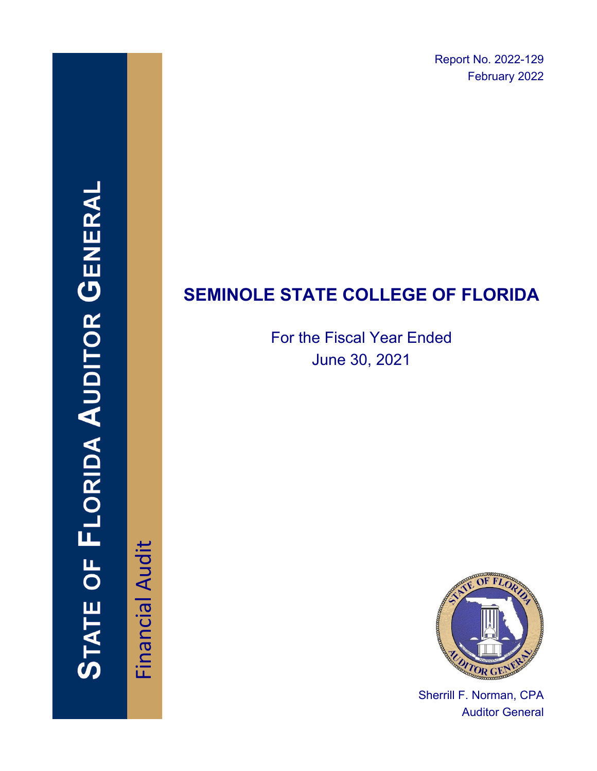Report No. 2022-129 February 2022

# STATE OF FLORIDA AUDITOR GENERA

Financial Audit Financial Audit

# **SEMINOLE STATE COLLEGE OF FLORIDA**

For the Fiscal Year Ended June 30, 2021



Sherrill F. Norman, CPA Auditor General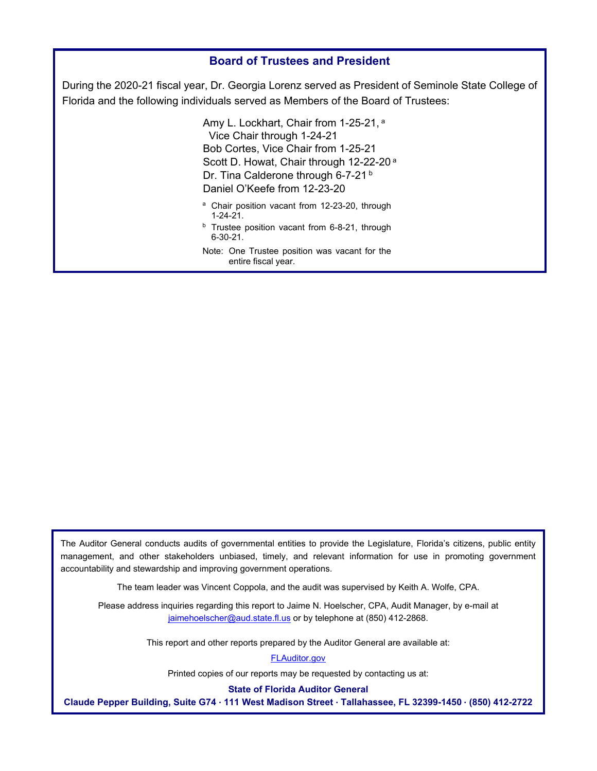#### **Board of Trustees and President**

During the 2020-21 fiscal year, Dr. Georgia Lorenz served as President of Seminole State College of Florida and the following individuals served as Members of the Board of Trustees:

> Amy L. Lockhart, Chair from 1-25-21, a Vice Chair through 1-24-21 Bob Cortes, Vice Chair from 1-25-21 Scott D. Howat, Chair through 12-22-20<sup>a</sup> Dr. Tina Calderone through 6-7-21<sup>b</sup> Daniel O'Keefe from 12-23-20

- a Chair position vacant from 12-23-20, through
- 1-24-21.<br>**b Trustee position vacant from 6-8-21, through** 6-30-21.
- Note: One Trustee position was vacant for the entire fiscal year.

The Auditor General conducts audits of governmental entities to provide the Legislature, Florida's citizens, public entity management, and other stakeholders unbiased, timely, and relevant information for use in promoting government accountability and stewardship and improving government operations.

The team leader was Vincent Coppola, and the audit was supervised by Keith A. Wolfe, CPA.

Please address inquiries regarding this report to Jaime N. Hoelscher, CPA, Audit Manager, by e-mail at jaimehoelscher@aud.state.fl.us or by telephone at (850) 412-2868.

This report and other reports prepared by the Auditor General are available at:

[FLAuditor.gov](http://flauditor.gov/) 

Printed copies of our reports may be requested by contacting us at:

**State of Florida Auditor General** 

**Claude Pepper Building, Suite G74 · 111 West Madison Street · Tallahassee, FL 32399-1450 · (850) 412-2722**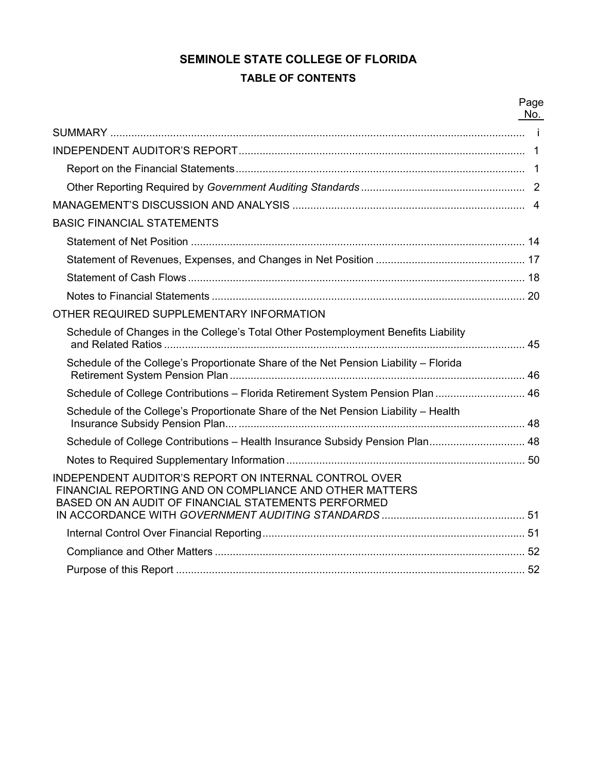# **SEMINOLE STATE COLLEGE OF FLORIDA TABLE OF CONTENTS**

Page

|                                                                                                                                                                         | No. |
|-------------------------------------------------------------------------------------------------------------------------------------------------------------------------|-----|
|                                                                                                                                                                         |     |
|                                                                                                                                                                         |     |
|                                                                                                                                                                         |     |
|                                                                                                                                                                         |     |
|                                                                                                                                                                         |     |
| <b>BASIC FINANCIAL STATEMENTS</b>                                                                                                                                       |     |
|                                                                                                                                                                         |     |
|                                                                                                                                                                         |     |
|                                                                                                                                                                         |     |
|                                                                                                                                                                         |     |
| OTHER REQUIRED SUPPLEMENTARY INFORMATION                                                                                                                                |     |
| Schedule of Changes in the College's Total Other Postemployment Benefits Liability                                                                                      |     |
| Schedule of the College's Proportionate Share of the Net Pension Liability - Florida                                                                                    |     |
| Schedule of College Contributions - Florida Retirement System Pension Plan  46                                                                                          |     |
| Schedule of the College's Proportionate Share of the Net Pension Liability - Health                                                                                     |     |
| Schedule of College Contributions - Health Insurance Subsidy Pension Plan 48                                                                                            |     |
|                                                                                                                                                                         |     |
| INDEPENDENT AUDITOR'S REPORT ON INTERNAL CONTROL OVER<br>FINANCIAL REPORTING AND ON COMPLIANCE AND OTHER MATTERS<br>BASED ON AN AUDIT OF FINANCIAL STATEMENTS PERFORMED |     |
|                                                                                                                                                                         |     |
|                                                                                                                                                                         |     |
|                                                                                                                                                                         |     |
|                                                                                                                                                                         |     |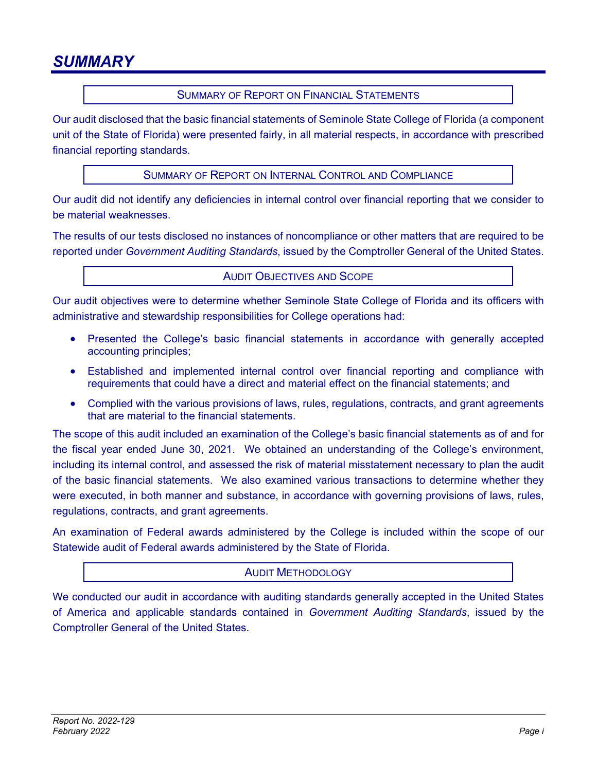# SUMMARY OF REPORT ON FINANCIAL STATEMENTS

<span id="page-3-0"></span>Our audit disclosed that the basic financial statements of Seminole State College of Florida (a component unit of the State of Florida) were presented fairly, in all material respects, in accordance with prescribed financial reporting standards.

SUMMARY OF REPORT ON INTERNAL CONTROL AND COMPLIANCE

Our audit did not identify any deficiencies in internal control over financial reporting that we consider to be material weaknesses.

The results of our tests disclosed no instances of noncompliance or other matters that are required to be reported under *Government Auditing Standards*, issued by the Comptroller General of the United States.

#### AUDIT OBJECTIVES AND SCOPE

Our audit objectives were to determine whether Seminole State College of Florida and its officers with administrative and stewardship responsibilities for College operations had:

- Presented the College's basic financial statements in accordance with generally accepted accounting principles;
- Established and implemented internal control over financial reporting and compliance with requirements that could have a direct and material effect on the financial statements; and
- Complied with the various provisions of laws, rules, regulations, contracts, and grant agreements that are material to the financial statements.

The scope of this audit included an examination of the College's basic financial statements as of and for the fiscal year ended June 30, 2021. We obtained an understanding of the College's environment, including its internal control, and assessed the risk of material misstatement necessary to plan the audit of the basic financial statements. We also examined various transactions to determine whether they were executed, in both manner and substance, in accordance with governing provisions of laws, rules, regulations, contracts, and grant agreements.

An examination of Federal awards administered by the College is included within the scope of our Statewide audit of Federal awards administered by the State of Florida.

# AUDIT METHODOLOGY

We conducted our audit in accordance with auditing standards generally accepted in the United States of America and applicable standards contained in *Government Auditing Standards*, issued by the Comptroller General of the United States.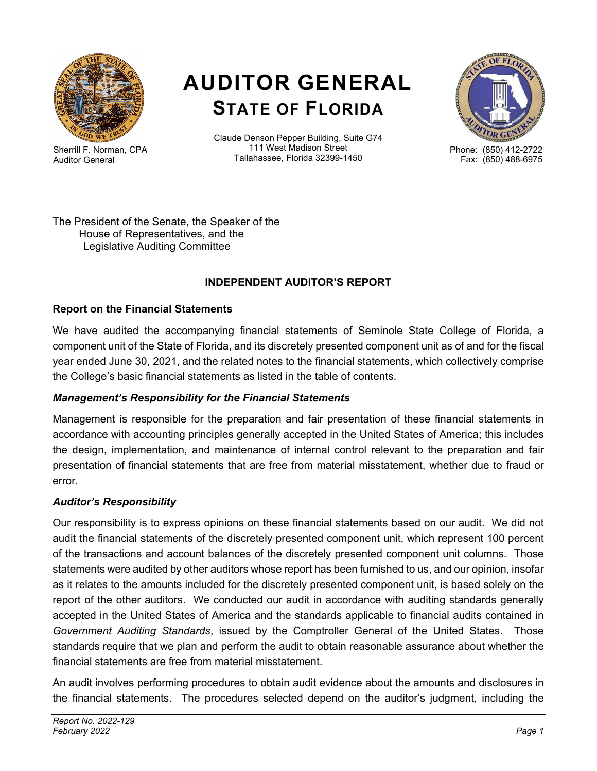<span id="page-4-0"></span>

Sherrill F. Norman, CPA Auditor General

# **AUDITOR GENERAL STATE OF FLORIDA**

Claude Denson Pepper Building, Suite G74 111 West Madison Street Tallahassee, Florida 32399-1450



Phone: (850) 412-2722 Fax: (850) 488-6975

The President of the Senate, the Speaker of the House of Representatives, and the Legislative Auditing Committee

# **INDEPENDENT AUDITOR'S REPORT**

# **Report on the Financial Statements**

We have audited the accompanying financial statements of Seminole State College of Florida, a component unit of the State of Florida, and its discretely presented component unit as of and for the fiscal year ended June 30, 2021, and the related notes to the financial statements, which collectively comprise the College's basic financial statements as listed in the table of contents.

# *Management's Responsibility for the Financial Statements*

Management is responsible for the preparation and fair presentation of these financial statements in accordance with accounting principles generally accepted in the United States of America; this includes the design, implementation, and maintenance of internal control relevant to the preparation and fair presentation of financial statements that are free from material misstatement, whether due to fraud or error.

# *Auditor's Responsibility*

Our responsibility is to express opinions on these financial statements based on our audit. We did not audit the financial statements of the discretely presented component unit, which represent 100 percent of the transactions and account balances of the discretely presented component unit columns. Those statements were audited by other auditors whose report has been furnished to us, and our opinion, insofar as it relates to the amounts included for the discretely presented component unit, is based solely on the report of the other auditors. We conducted our audit in accordance with auditing standards generally accepted in the United States of America and the standards applicable to financial audits contained in *Government Auditing Standards*, issued by the Comptroller General of the United States. Those standards require that we plan and perform the audit to obtain reasonable assurance about whether the financial statements are free from material misstatement.

An audit involves performing procedures to obtain audit evidence about the amounts and disclosures in the financial statements. The procedures selected depend on the auditor's judgment, including the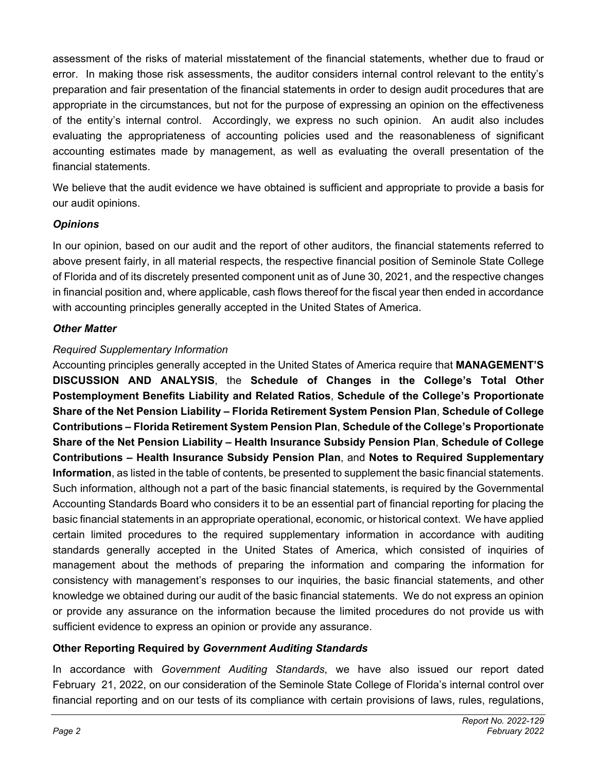<span id="page-5-0"></span>assessment of the risks of material misstatement of the financial statements, whether due to fraud or error. In making those risk assessments, the auditor considers internal control relevant to the entity's preparation and fair presentation of the financial statements in order to design audit procedures that are appropriate in the circumstances, but not for the purpose of expressing an opinion on the effectiveness of the entity's internal control. Accordingly, we express no such opinion. An audit also includes evaluating the appropriateness of accounting policies used and the reasonableness of significant accounting estimates made by management, as well as evaluating the overall presentation of the financial statements.

We believe that the audit evidence we have obtained is sufficient and appropriate to provide a basis for our audit opinions.

# *Opinions*

In our opinion, based on our audit and the report of other auditors, the financial statements referred to above present fairly, in all material respects, the respective financial position of Seminole State College of Florida and of its discretely presented component unit as of June 30, 2021, and the respective changes in financial position and, where applicable, cash flows thereof for the fiscal year then ended in accordance with accounting principles generally accepted in the United States of America.

# *Other Matter*

# *Required Supplementary Information*

Accounting principles generally accepted in the United States of America require that **MANAGEMENT'S DISCUSSION AND ANALYSIS**, the **Schedule of Changes in the College's Total Other Postemployment Benefits Liability and Related Ratios**, **Schedule of the College's Proportionate Share of the Net Pension Liability – Florida Retirement System Pension Plan**, **Schedule of College Contributions – Florida Retirement System Pension Plan**, **Schedule of the College's Proportionate Share of the Net Pension Liability – Health Insurance Subsidy Pension Plan**, **Schedule of College Contributions – Health Insurance Subsidy Pension Plan**, and **Notes to Required Supplementary Information**, as listed in the table of contents, be presented to supplement the basic financial statements. Such information, although not a part of the basic financial statements, is required by the Governmental Accounting Standards Board who considers it to be an essential part of financial reporting for placing the basic financial statements in an appropriate operational, economic, or historical context. We have applied certain limited procedures to the required supplementary information in accordance with auditing standards generally accepted in the United States of America, which consisted of inquiries of management about the methods of preparing the information and comparing the information for consistency with management's responses to our inquiries, the basic financial statements, and other knowledge we obtained during our audit of the basic financial statements. We do not express an opinion or provide any assurance on the information because the limited procedures do not provide us with sufficient evidence to express an opinion or provide any assurance.

# **Other Reporting Required by** *Government Auditing Standards*

In accordance with *Government Auditing Standards*, we have also issued our report dated February 21, 2022, on our consideration of the Seminole State College of Florida's internal control over financial reporting and on our tests of its compliance with certain provisions of laws, rules, regulations,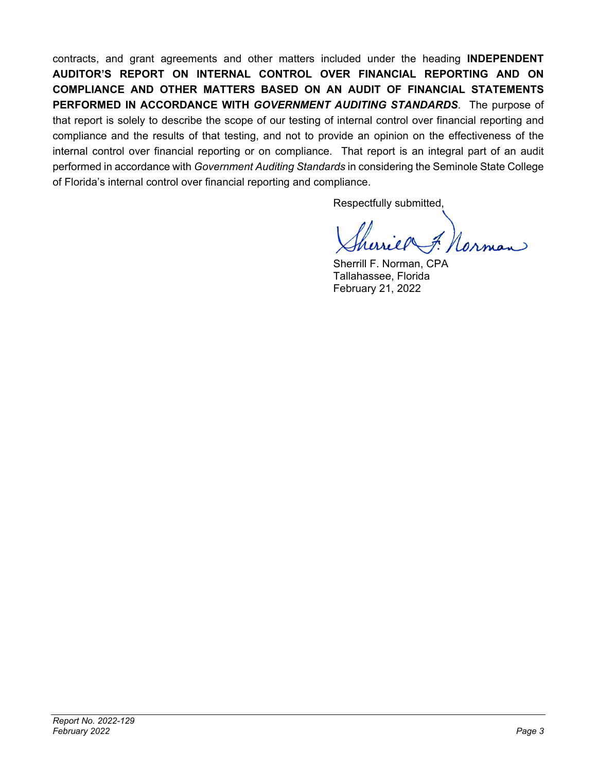contracts, and grant agreements and other matters included under the heading **INDEPENDENT AUDITOR'S REPORT ON INTERNAL CONTROL OVER FINANCIAL REPORTING AND ON COMPLIANCE AND OTHER MATTERS BASED ON AN AUDIT OF FINANCIAL STATEMENTS PERFORMED IN ACCORDANCE WITH** *GOVERNMENT AUDITING STANDARDS*. The purpose of that report is solely to describe the scope of our testing of internal control over financial reporting and compliance and the results of that testing, and not to provide an opinion on the effectiveness of the internal control over financial reporting or on compliance. That report is an integral part of an audit performed in accordance with *Government Auditing Standards* in considering the Seminole State College of Florida's internal control over financial reporting and compliance.

Respectfully submitted,

Sherrill F. Norman, CPA Tallahassee, Florida February 21, 2022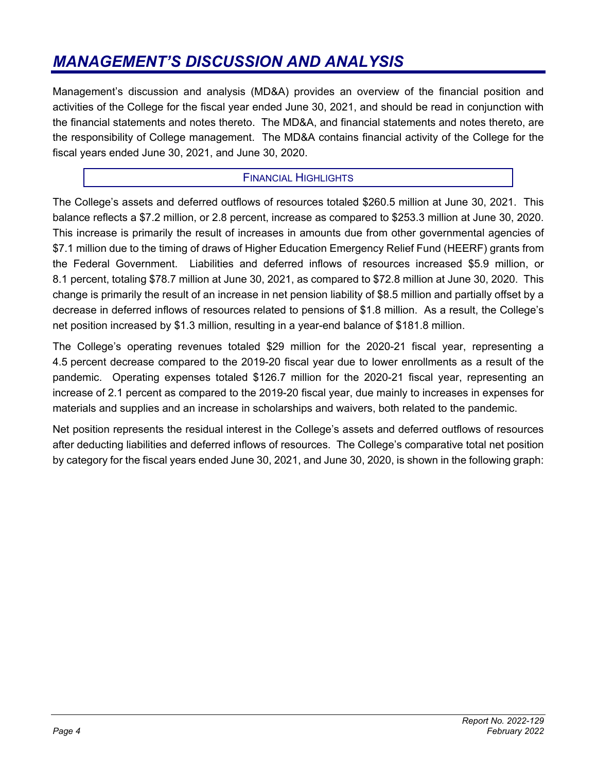# <span id="page-7-0"></span>*MANAGEMENT'S DISCUSSION AND ANALYSIS*

Management's discussion and analysis (MD&A) provides an overview of the financial position and activities of the College for the fiscal year ended June 30, 2021, and should be read in conjunction with the financial statements and notes thereto. The MD&A, and financial statements and notes thereto, are the responsibility of College management. The MD&A contains financial activity of the College for the fiscal years ended June 30, 2021, and June 30, 2020.

# FINANCIAL HIGHLIGHTS

The College's assets and deferred outflows of resources totaled \$260.5 million at June 30, 2021. This balance reflects a \$7.2 million, or 2.8 percent, increase as compared to \$253.3 million at June 30, 2020. This increase is primarily the result of increases in amounts due from other governmental agencies of \$7.1 million due to the timing of draws of Higher Education Emergency Relief Fund (HEERF) grants from the Federal Government. Liabilities and deferred inflows of resources increased \$5.9 million, or 8.1 percent, totaling \$78.7 million at June 30, 2021, as compared to \$72.8 million at June 30, 2020. This change is primarily the result of an increase in net pension liability of \$8.5 million and partially offset by a decrease in deferred inflows of resources related to pensions of \$1.8 million. As a result, the College's net position increased by \$1.3 million, resulting in a year-end balance of \$181.8 million.

The College's operating revenues totaled \$29 million for the 2020-21 fiscal year, representing a 4.5 percent decrease compared to the 2019-20 fiscal year due to lower enrollments as a result of the pandemic. Operating expenses totaled \$126.7 million for the 2020-21 fiscal year, representing an increase of 2.1 percent as compared to the 2019-20 fiscal year, due mainly to increases in expenses for materials and supplies and an increase in scholarships and waivers, both related to the pandemic.

Net position represents the residual interest in the College's assets and deferred outflows of resources after deducting liabilities and deferred inflows of resources. The College's comparative total net position by category for the fiscal years ended June 30, 2021, and June 30, 2020, is shown in the following graph: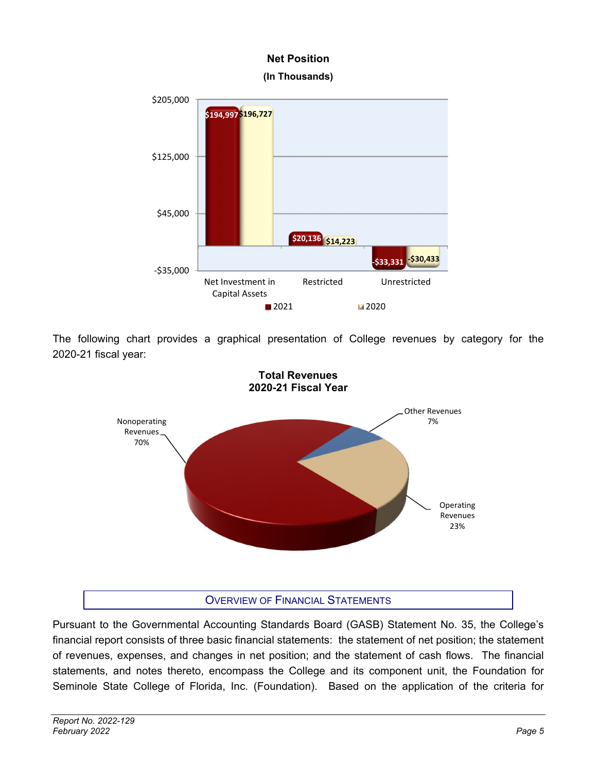# **Net Position (In Thousands)**



The following chart provides a graphical presentation of College revenues by category for the 2020-21 fiscal year:



Pursuant to the Governmental Accounting Standards Board (GASB) Statement No. 35, the College's financial report consists of three basic financial statements: the statement of net position; the statement of revenues, expenses, and changes in net position; and the statement of cash flows. The financial statements, and notes thereto, encompass the College and its component unit, the Foundation for Seminole State College of Florida, Inc. (Foundation). Based on the application of the criteria for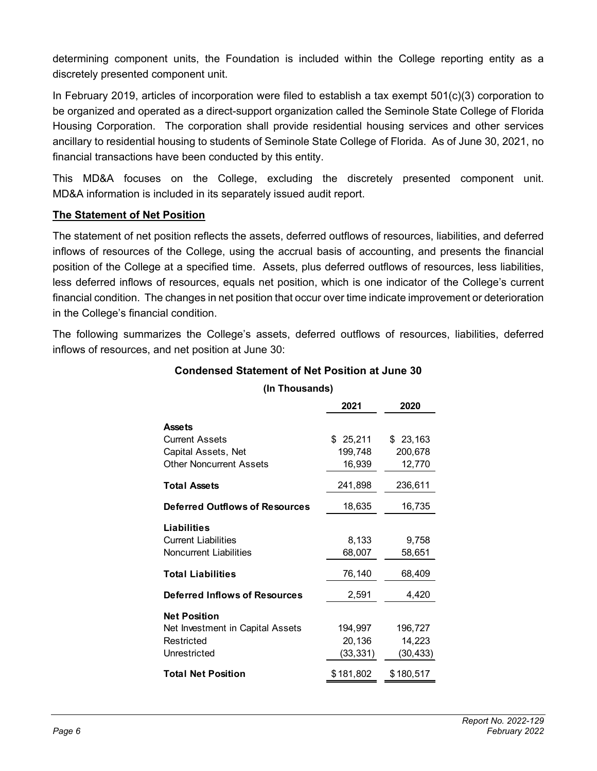determining component units, the Foundation is included within the College reporting entity as a discretely presented component unit.

In February 2019, articles of incorporation were filed to establish a tax exempt 501(c)(3) corporation to be organized and operated as a direct-support organization called the Seminole State College of Florida Housing Corporation. The corporation shall provide residential housing services and other services ancillary to residential housing to students of Seminole State College of Florida. As of June 30, 2021, no financial transactions have been conducted by this entity.

This MD&A focuses on the College, excluding the discretely presented component unit. MD&A information is included in its separately issued audit report.

## **The Statement of Net Position**

The statement of net position reflects the assets, deferred outflows of resources, liabilities, and deferred inflows of resources of the College, using the accrual basis of accounting, and presents the financial position of the College at a specified time. Assets, plus deferred outflows of resources, less liabilities, less deferred inflows of resources, equals net position, which is one indicator of the College's current financial condition. The changes in net position that occur over time indicate improvement or deterioration in the College's financial condition.

The following summarizes the College's assets, deferred outflows of resources, liabilities, deferred inflows of resources, and net position at June 30:

#### **Condensed Statement of Net Position at June 30**

**(In Thousands)** 

|                                       | 2021      | 2020      |
|---------------------------------------|-----------|-----------|
| <b>Assets</b>                         |           |           |
| <b>Current Assets</b>                 | \$25,211  | \$23,163  |
| Capital Assets, Net                   | 199,748   | 200,678   |
| <b>Other Noncurrent Assets</b>        | 16,939    | 12,770    |
| <b>Total Assets</b>                   | 241,898   | 236,611   |
| <b>Deferred Outflows of Resources</b> | 18,635    | 16,735    |
| Liabilities                           |           |           |
| <b>Current Liabilities</b>            | 8,133     | 9,758     |
| <b>Noncurrent Liabilities</b>         | 68,007    | 58,651    |
| <b>Total Liabilities</b>              | 76,140    | 68,409    |
| Deferred Inflows of Resources         | 2,591     | 4,420     |
| <b>Net Position</b>                   |           |           |
| Net Investment in Capital Assets      | 194,997   | 196,727   |
| Restricted                            | 20,136    | 14,223    |
| Unrestricted                          | (33, 331) | (30, 433) |
| <b>Total Net Position</b>             | \$181,802 | \$180,517 |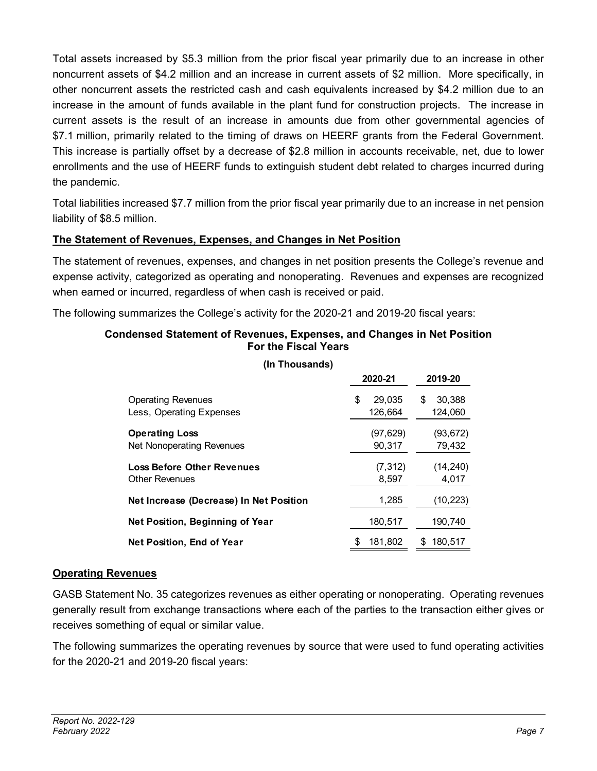Total assets increased by \$5.3 million from the prior fiscal year primarily due to an increase in other noncurrent assets of \$4.2 million and an increase in current assets of \$2 million. More specifically, in other noncurrent assets the restricted cash and cash equivalents increased by \$4.2 million due to an increase in the amount of funds available in the plant fund for construction projects. The increase in current assets is the result of an increase in amounts due from other governmental agencies of \$7.1 million, primarily related to the timing of draws on HEERF grants from the Federal Government. This increase is partially offset by a decrease of \$2.8 million in accounts receivable, net, due to lower enrollments and the use of HEERF funds to extinguish student debt related to charges incurred during the pandemic.

Total liabilities increased \$7.7 million from the prior fiscal year primarily due to an increase in net pension liability of \$8.5 million.

# **The Statement of Revenues, Expenses, and Changes in Net Position**

The statement of revenues, expenses, and changes in net position presents the College's revenue and expense activity, categorized as operating and nonoperating. Revenues and expenses are recognized when earned or incurred, regardless of when cash is received or paid.

The following summarizes the College's activity for the 2020-21 and 2019-20 fiscal years:

## **Condensed Statement of Revenues, Expenses, and Changes in Net Position For the Fiscal Years**

**(In Thousands)** 

|                                                            | 2020-21                 | 2019-20                 |
|------------------------------------------------------------|-------------------------|-------------------------|
| <b>Operating Revenues</b><br>Less, Operating Expenses      | \$<br>29,035<br>126.664 | 30,388<br>\$<br>124.060 |
| <b>Operating Loss</b><br>Net Nonoperating Revenues         | (97, 629)<br>90,317     | (93, 672)<br>79,432     |
| <b>Loss Before Other Revenues</b><br><b>Other Revenues</b> | (7, 312)<br>8.597       | (14, 240)<br>4.017      |
| Net Increase (Decrease) In Net Position                    | 1,285                   | (10, 223)               |
| Net Position, Beginning of Year                            | 180.517                 | 190.740                 |
| <b>Net Position, End of Year</b>                           | 181,802<br>\$           | 180.517                 |

# **Operating Revenues**

GASB Statement No. 35 categorizes revenues as either operating or nonoperating. Operating revenues generally result from exchange transactions where each of the parties to the transaction either gives or receives something of equal or similar value.

The following summarizes the operating revenues by source that were used to fund operating activities for the 2020-21 and 2019-20 fiscal years: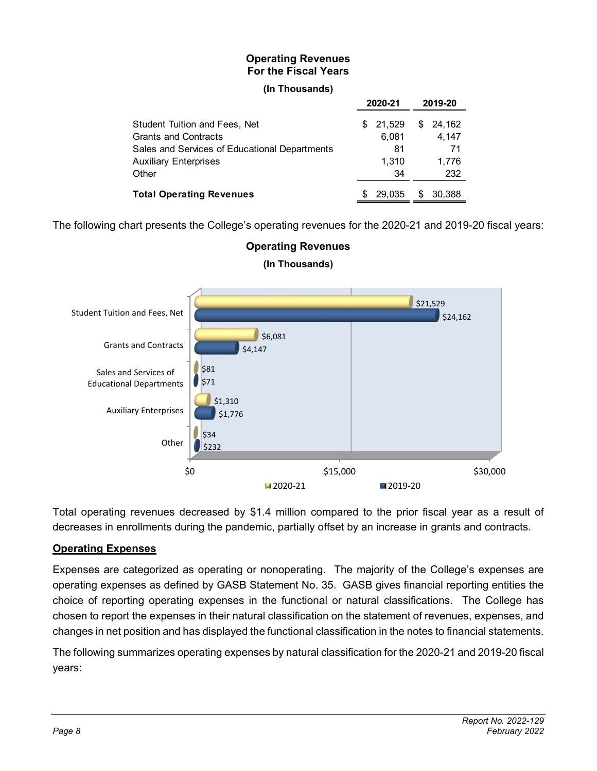# **Operating Revenues For the Fiscal Years**

#### **(In Thousands)**

|                                               | 2020-21  | 2019-20     |  |
|-----------------------------------------------|----------|-------------|--|
| <b>Student Tuition and Fees, Net</b>          | \$21,529 | \$24,162    |  |
| <b>Grants and Contracts</b>                   | 6,081    | 4,147       |  |
| Sales and Services of Educational Departments | 81       | 71          |  |
| <b>Auxiliary Enterprises</b>                  | 1,310    | 1,776       |  |
| Other                                         | 34       | 232         |  |
| <b>Total Operating Revenues</b>               | 29.035   | 30.388<br>S |  |

The following chart presents the College's operating revenues for the 2020-21 and 2019-20 fiscal years:



# **Operating Revenues**

**(In Thousands)** 

Total operating revenues decreased by \$1.4 million compared to the prior fiscal year as a result of decreases in enrollments during the pandemic, partially offset by an increase in grants and contracts.

# **Operating Expenses**

Expenses are categorized as operating or nonoperating. The majority of the College's expenses are operating expenses as defined by GASB Statement No. 35. GASB gives financial reporting entities the choice of reporting operating expenses in the functional or natural classifications. The College has chosen to report the expenses in their natural classification on the statement of revenues, expenses, and changes in net position and has displayed the functional classification in the notes to financial statements.

The following summarizes operating expenses by natural classification for the 2020-21 and 2019-20 fiscal years: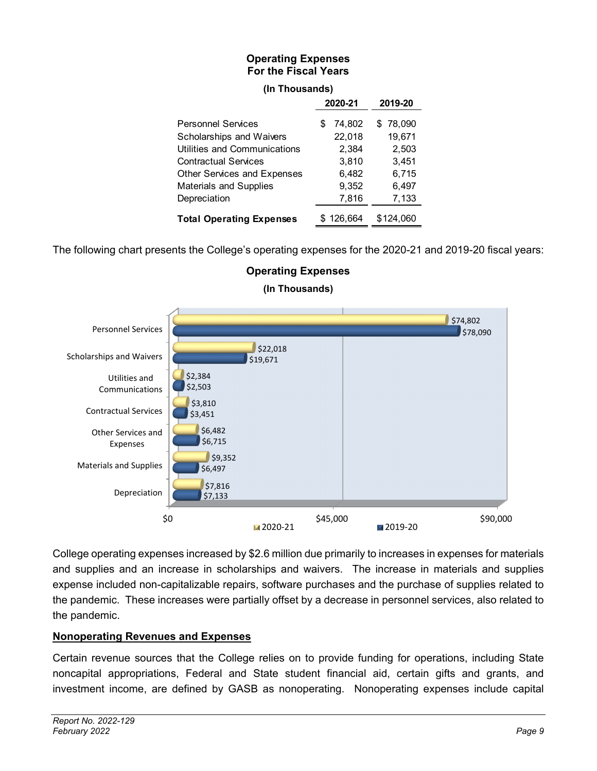# **Operating Expenses For the Fiscal Years**

#### **(In Thousands)**

|                                                                                                                                                                                                      | 2020-21                                                            | 2019-20                                                         |
|------------------------------------------------------------------------------------------------------------------------------------------------------------------------------------------------------|--------------------------------------------------------------------|-----------------------------------------------------------------|
| <b>Personnel Services</b><br>Scholarships and Waivers<br>Utilities and Communications<br><b>Contractual Services</b><br>Other Services and Expenses<br><b>Materials and Supplies</b><br>Depreciation | 74,802<br>S<br>22,018<br>2,384<br>3,810<br>6,482<br>9,352<br>7,816 | \$78,090<br>19,671<br>2,503<br>3,451<br>6,715<br>6,497<br>7,133 |
| <b>Total Operating Expenses</b>                                                                                                                                                                      | \$126,664                                                          | \$124.060                                                       |

The following chart presents the College's operating expenses for the 2020-21 and 2019-20 fiscal years:



# **Operating Expenses**

**(In Thousands)** 

College operating expenses increased by \$2.6 million due primarily to increases in expenses for materials and supplies and an increase in scholarships and waivers. The increase in materials and supplies expense included non-capitalizable repairs, software purchases and the purchase of supplies related to the pandemic. These increases were partially offset by a decrease in personnel services, also related to the pandemic.

# **Nonoperating Revenues and Expenses**

Certain revenue sources that the College relies on to provide funding for operations, including State noncapital appropriations, Federal and State student financial aid, certain gifts and grants, and investment income, are defined by GASB as nonoperating. Nonoperating expenses include capital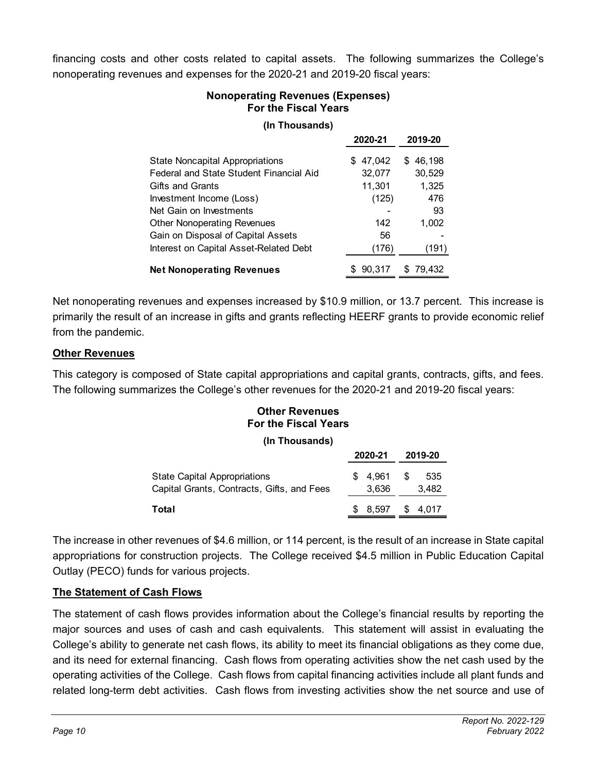financing costs and other costs related to capital assets. The following summarizes the College's nonoperating revenues and expenses for the 2020-21 and 2019-20 fiscal years:

# **Nonoperating Revenues (Expenses) For the Fiscal Years**

#### **(In Thousands)**

|                                                                                   | 2020-21                 | 2019-20                |
|-----------------------------------------------------------------------------------|-------------------------|------------------------|
| <b>State Noncapital Appropriations</b><br>Federal and State Student Financial Aid | 47,042<br>\$.<br>32,077 | 46,198<br>\$<br>30,529 |
| Gifts and Grants                                                                  | 11,301                  | 1,325                  |
| Investment Income (Loss)                                                          | (125)                   | 476                    |
| Net Gain on Investments                                                           |                         | 93                     |
| <b>Other Nonoperating Revenues</b>                                                | 142                     | 1,002                  |
| Gain on Disposal of Capital Assets                                                | 56                      |                        |
| Interest on Capital Asset-Related Debt                                            | (176)                   | (191)                  |
| <b>Net Nonoperating Revenues</b>                                                  | 90.317                  | \$79.432               |

Net nonoperating revenues and expenses increased by \$10.9 million, or 13.7 percent. This increase is primarily the result of an increase in gifts and grants reflecting HEERF grants to provide economic relief from the pandemic.

#### **Other Revenues**

This category is composed of State capital appropriations and capital grants, contracts, gifts, and fees. The following summarizes the College's other revenues for the 2020-21 and 2019-20 fiscal years:

# **Other Revenues For the Fiscal Years**

| (In Thousands)                                                             |                  |                   |
|----------------------------------------------------------------------------|------------------|-------------------|
|                                                                            | 2020-21          | 2019-20           |
| State Capital Appropriations<br>Capital Grants, Contracts, Gifts, and Fees | \$4.961<br>3,636 | S<br>535<br>3,482 |
| Total                                                                      | 8,597            | 4,017<br>S.       |

The increase in other revenues of \$4.6 million, or 114 percent, is the result of an increase in State capital appropriations for construction projects. The College received \$4.5 million in Public Education Capital Outlay (PECO) funds for various projects.

# **The Statement of Cash Flows**

The statement of cash flows provides information about the College's financial results by reporting the major sources and uses of cash and cash equivalents. This statement will assist in evaluating the College's ability to generate net cash flows, its ability to meet its financial obligations as they come due, and its need for external financing. Cash flows from operating activities show the net cash used by the operating activities of the College. Cash flows from capital financing activities include all plant funds and related long-term debt activities. Cash flows from investing activities show the net source and use of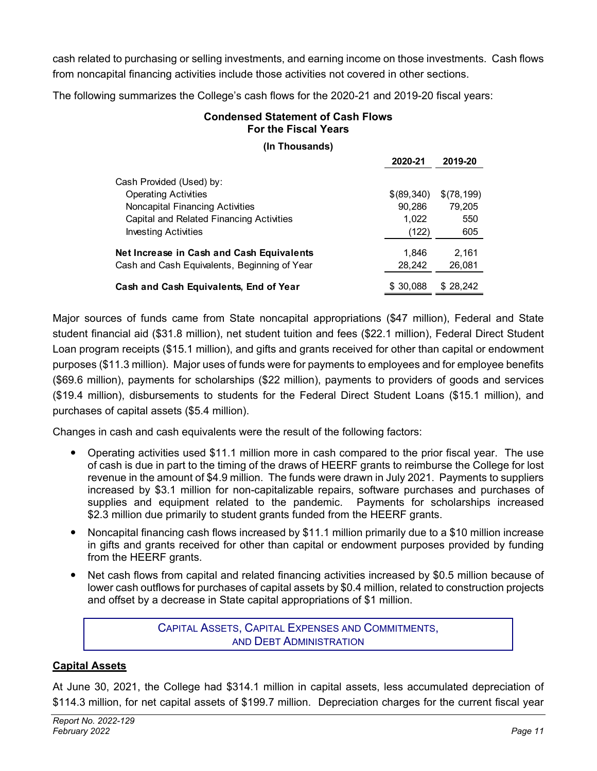cash related to purchasing or selling investments, and earning income on those investments. Cash flows from noncapital financing activities include those activities not covered in other sections.

The following summarizes the College's cash flows for the 2020-21 and 2019-20 fiscal years:

# **Condensed Statement of Cash Flows For the Fiscal Years**

#### **(In Thousands)**

|                                              | 2020-21    | 2019-20     |
|----------------------------------------------|------------|-------------|
| Cash Provided (Used) by:                     |            |             |
| <b>Operating Activities</b>                  | \$(89,340) | \$(78, 199) |
| <b>Noncapital Financing Activities</b>       | 90,286     | 79,205      |
| Capital and Related Financing Activities     | 1,022      | 550         |
| <b>Investing Activities</b>                  | (122)      | 605         |
| Net Increase in Cash and Cash Equivalents    | 1.846      | 2.161       |
| Cash and Cash Equivalents, Beginning of Year | 28,242     | 26,081      |
| Cash and Cash Equivalents, End of Year       | \$30,088   | \$28.242    |

Major sources of funds came from State noncapital appropriations (\$47 million), Federal and State student financial aid (\$31.8 million), net student tuition and fees (\$22.1 million), Federal Direct Student Loan program receipts (\$15.1 million), and gifts and grants received for other than capital or endowment purposes (\$11.3 million). Major uses of funds were for payments to employees and for employee benefits (\$69.6 million), payments for scholarships (\$22 million), payments to providers of goods and services (\$19.4 million), disbursements to students for the Federal Direct Student Loans (\$15.1 million), and purchases of capital assets (\$5.4 million).

Changes in cash and cash equivalents were the result of the following factors:

- Operating activities used \$11.1 million more in cash compared to the prior fiscal year. The use of cash is due in part to the timing of the draws of HEERF grants to reimburse the College for lost revenue in the amount of \$4.9 million. The funds were drawn in July 2021. Payments to suppliers increased by \$3.1 million for non-capitalizable repairs, software purchases and purchases of supplies and equipment related to the pandemic. Payments for scholarships increased \$2.3 million due primarily to student grants funded from the HEERF grants.
- Noncapital financing cash flows increased by \$11.1 million primarily due to a \$10 million increase in gifts and grants received for other than capital or endowment purposes provided by funding from the HEERF grants.
- Net cash flows from capital and related financing activities increased by \$0.5 million because of lower cash outflows for purchases of capital assets by \$0.4 million, related to construction projects and offset by a decrease in State capital appropriations of \$1 million.

CAPITAL ASSETS, CAPITAL EXPENSES AND COMMITMENTS, AND DEBT ADMINISTRATION

# **Capital Assets**

At June 30, 2021, the College had \$314.1 million in capital assets, less accumulated depreciation of \$114.3 million, for net capital assets of \$199.7 million. Depreciation charges for the current fiscal year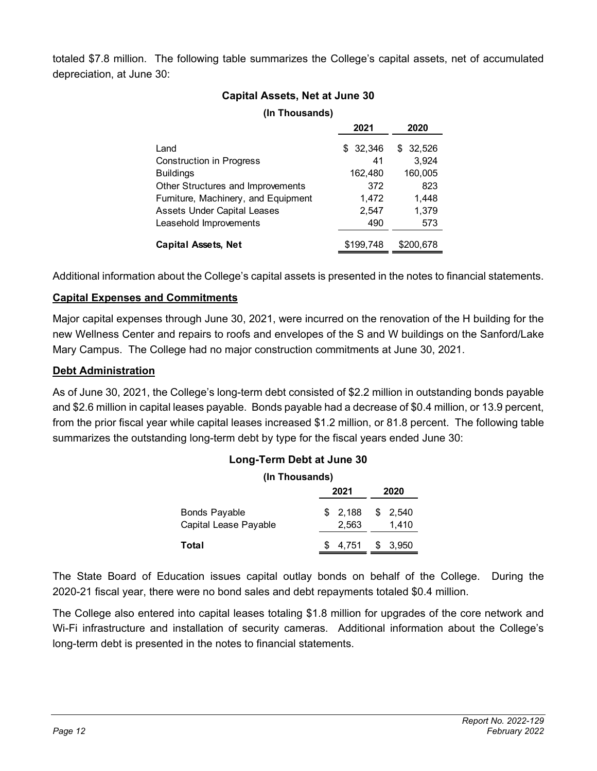totaled \$7.8 million. The following table summarizes the College's capital assets, net of accumulated depreciation, at June 30:

| ,                                   |           |           |
|-------------------------------------|-----------|-----------|
|                                     | 2021      | 2020      |
| Land                                | \$32,346  | \$32,526  |
| <b>Construction in Progress</b>     | 41        | 3,924     |
| <b>Buildings</b>                    | 162,480   | 160,005   |
| Other Structures and Improvements   | 372       | 823       |
| Furniture, Machinery, and Equipment | 1,472     | 1,448     |
| <b>Assets Under Capital Leases</b>  | 2,547     | 1,379     |
| Leasehold Improvements              | 490       | 573       |
| <b>Capital Assets, Net</b>          | \$199,748 | \$200,678 |

## **Capital Assets, Net at June 30 (In Thousands)**

Additional information about the College's capital assets is presented in the notes to financial statements.

## **Capital Expenses and Commitments**

Major capital expenses through June 30, 2021, were incurred on the renovation of the H building for the new Wellness Center and repairs to roofs and envelopes of the S and W buildings on the Sanford/Lake Mary Campus. The College had no major construction commitments at June 30, 2021.

## **Debt Administration**

As of June 30, 2021, the College's long-term debt consisted of \$2.2 million in outstanding bonds payable and \$2.6 million in capital leases payable. Bonds payable had a decrease of \$0.4 million, or 13.9 percent, from the prior fiscal year while capital leases increased \$1.2 million, or 81.8 percent. The following table summarizes the outstanding long-term debt by type for the fiscal years ended June 30:

# **Long-Term Debt at June 30**

| (In Thousands)                                |  |                            |  |       |
|-----------------------------------------------|--|----------------------------|--|-------|
|                                               |  | 2021                       |  | 2020  |
| <b>Bonds Payable</b><br>Capital Lease Payable |  | $$2,188$ $$2,540$<br>2,563 |  | 1,410 |
| Total                                         |  | 4,751 \$ 3,950             |  |       |

The State Board of Education issues capital outlay bonds on behalf of the College. During the 2020-21 fiscal year, there were no bond sales and debt repayments totaled \$0.4 million.

The College also entered into capital leases totaling \$1.8 million for upgrades of the core network and Wi-Fi infrastructure and installation of security cameras. Additional information about the College's long-term debt is presented in the notes to financial statements.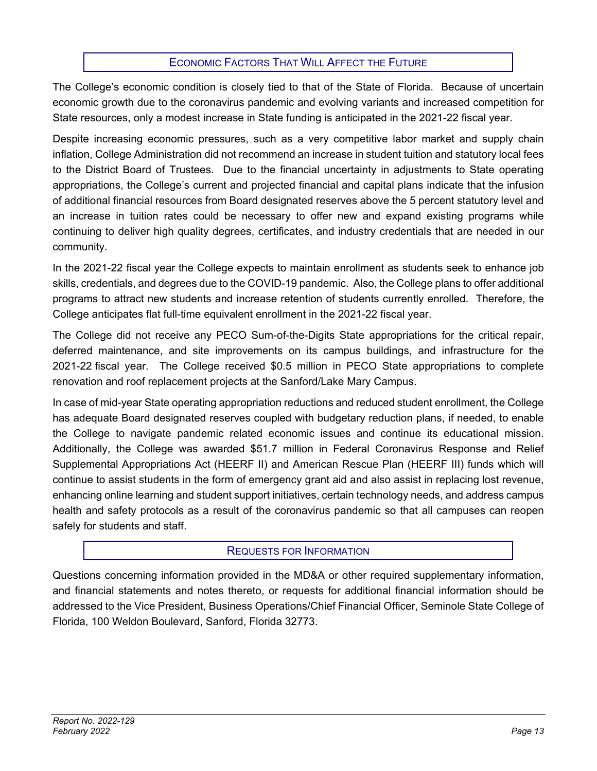# ECONOMIC FACTORS THAT WILL AFFECT THE FUTURE

The College's economic condition is closely tied to that of the State of Florida. Because of uncertain economic growth due to the coronavirus pandemic and evolving variants and increased competition for State resources, only a modest increase in State funding is anticipated in the 2021-22 fiscal year.

Despite increasing economic pressures, such as a very competitive labor market and supply chain inflation, College Administration did not recommend an increase in student tuition and statutory local fees to the District Board of Trustees. Due to the financial uncertainty in adjustments to State operating appropriations, the College's current and projected financial and capital plans indicate that the infusion of additional financial resources from Board designated reserves above the 5 percent statutory level and an increase in tuition rates could be necessary to offer new and expand existing programs while continuing to deliver high quality degrees, certificates, and industry credentials that are needed in our community.

In the 2021-22 fiscal year the College expects to maintain enrollment as students seek to enhance job skills, credentials, and degrees due to the COVID-19 pandemic. Also, the College plans to offer additional programs to attract new students and increase retention of students currently enrolled. Therefore, the College anticipates flat full-time equivalent enrollment in the 2021-22 fiscal year.

The College did not receive any PECO Sum-of-the-Digits State appropriations for the critical repair, deferred maintenance, and site improvements on its campus buildings, and infrastructure for the 2021-22 fiscal year. The College received \$0.5 million in PECO State appropriations to complete renovation and roof replacement projects at the Sanford/Lake Mary Campus.

In case of mid-year State operating appropriation reductions and reduced student enrollment, the College has adequate Board designated reserves coupled with budgetary reduction plans, if needed, to enable the College to navigate pandemic related economic issues and continue its educational mission. Additionally, the College was awarded \$51.7 million in Federal Coronavirus Response and Relief Supplemental Appropriations Act (HEERF II) and American Rescue Plan (HEERF III) funds which will continue to assist students in the form of emergency grant aid and also assist in replacing lost revenue, enhancing online learning and student support initiatives, certain technology needs, and address campus health and safety protocols as a result of the coronavirus pandemic so that all campuses can reopen safely for students and staff.

# REQUESTS FOR INFORMATION

Questions concerning information provided in the MD&A or other required supplementary information, and financial statements and notes thereto, or requests for additional financial information should be addressed to the Vice President, Business Operations/Chief Financial Officer, Seminole State College of Florida, 100 Weldon Boulevard, Sanford, Florida 32773.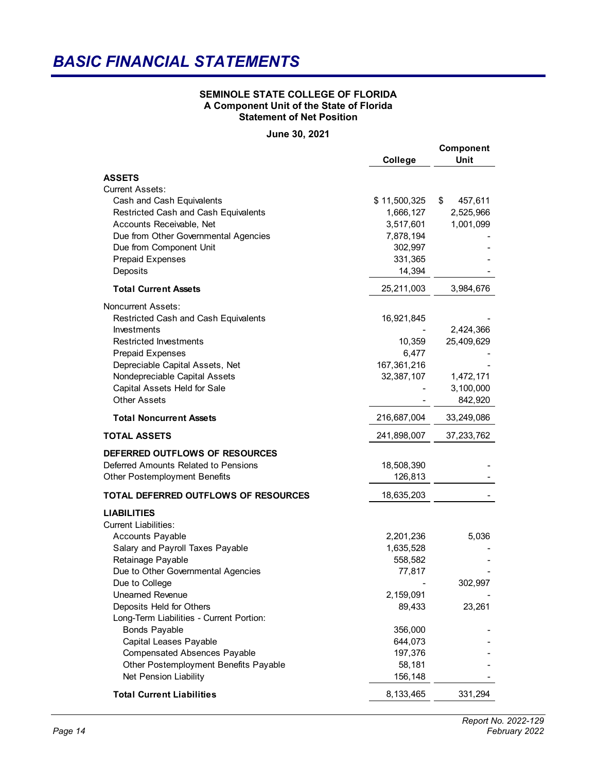# <span id="page-17-0"></span>*BASIC FINANCIAL STATEMENTS*

#### **SEMINOLE STATE COLLEGE OF FLORIDA A Component Unit of the State of Florida Statement of Net Position**

**June 30, 2021** 

|                                                   |              | Component     |
|---------------------------------------------------|--------------|---------------|
|                                                   | College      | Unit          |
| <b>ASSETS</b>                                     |              |               |
| <b>Current Assets:</b>                            |              |               |
| Cash and Cash Equivalents                         | \$11,500,325 | 457,611<br>\$ |
| Restricted Cash and Cash Equivalents              | 1,666,127    | 2,525,966     |
| Accounts Receivable, Net                          | 3,517,601    | 1,001,099     |
| Due from Other Governmental Agencies              | 7,878,194    |               |
| Due from Component Unit                           | 302,997      |               |
| <b>Prepaid Expenses</b>                           | 331,365      |               |
| Deposits                                          | 14,394       |               |
| <b>Total Current Assets</b>                       | 25,211,003   | 3,984,676     |
| <b>Noncurrent Assets:</b>                         |              |               |
| Restricted Cash and Cash Equivalents              | 16,921,845   |               |
| Investments                                       |              | 2,424,366     |
| <b>Restricted Investments</b>                     | 10,359       | 25,409,629    |
| <b>Prepaid Expenses</b>                           | 6,477        |               |
| Depreciable Capital Assets, Net                   | 167,361,216  |               |
| Nondepreciable Capital Assets                     | 32,387,107   | 1,472,171     |
| Capital Assets Held for Sale                      |              | 3,100,000     |
| <b>Other Assets</b>                               |              | 842,920       |
| <b>Total Noncurrent Assets</b>                    | 216,687,004  | 33,249,086    |
| <b>TOTAL ASSETS</b>                               | 241,898,007  | 37,233,762    |
| DEFERRED OUTFLOWS OF RESOURCES                    |              |               |
| Deferred Amounts Related to Pensions              | 18,508,390   |               |
| <b>Other Postemployment Benefits</b>              | 126,813      |               |
| TOTAL DEFERRED OUTFLOWS OF RESOURCES              | 18,635,203   |               |
|                                                   |              |               |
| <b>LIABILITIES</b><br><b>Current Liabilities:</b> |              |               |
| <b>Accounts Payable</b>                           | 2,201,236    | 5,036         |
| Salary and Payroll Taxes Payable                  | 1,635,528    |               |
| Retainage Payable                                 | 558,582      |               |
| Due to Other Governmental Agencies                | 77,817       |               |
| Due to College                                    |              | 302,997       |
| <b>Unearned Revenue</b>                           | 2,159,091    |               |
| Deposits Held for Others                          | 89,433       | 23,261        |
| Long-Term Liabilities - Current Portion:          |              |               |
| <b>Bonds Payable</b>                              | 356,000      |               |
| Capital Leases Payable                            | 644,073      |               |
| <b>Compensated Absences Payable</b>               | 197,376      |               |
| Other Postemployment Benefits Payable             | 58,181       |               |
| Net Pension Liability                             | 156,148      |               |
| <b>Total Current Liabilities</b>                  | 8,133,465    | 331,294       |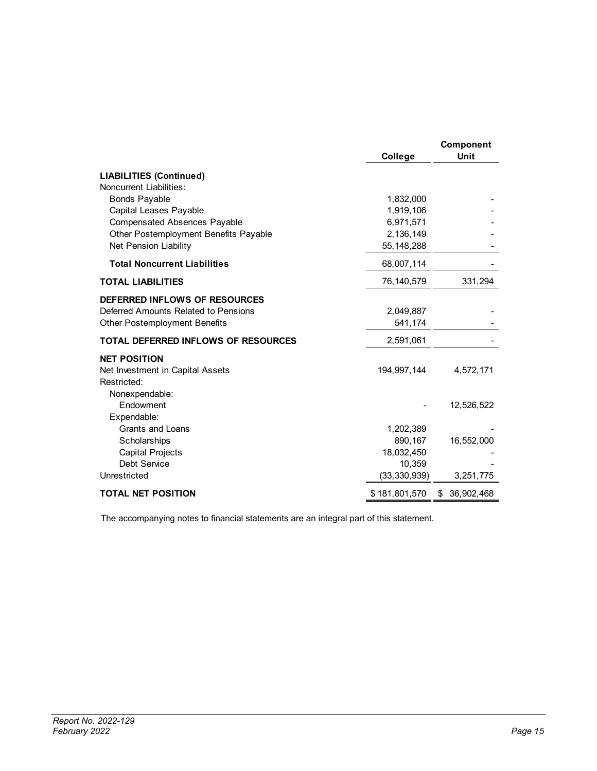|                                            |                | Component        |
|--------------------------------------------|----------------|------------------|
|                                            | College        | Unit             |
| <b>LIABILITIES (Continued)</b>             |                |                  |
| Noncurrent Liabilities:                    |                |                  |
| <b>Bonds Payable</b>                       | 1,832,000      |                  |
| Capital Leases Payable                     | 1,919,106      |                  |
| <b>Compensated Absences Payable</b>        | 6,971,571      |                  |
| Other Postemployment Benefits Payable      | 2,136,149      |                  |
| <b>Net Pension Liability</b>               | 55, 148, 288   |                  |
| <b>Total Noncurrent Liabilities</b>        | 68,007,114     |                  |
| <b>TOTAL LIABILITIES</b>                   | 76, 140, 579   | 331,294          |
| DEFERRED INFLOWS OF RESOURCES              |                |                  |
| Deferred Amounts Related to Pensions       | 2,049,887      |                  |
| <b>Other Postemployment Benefits</b>       | 541,174        |                  |
| <b>TOTAL DEFERRED INFLOWS OF RESOURCES</b> | 2,591,061      |                  |
| <b>NET POSITION</b>                        |                |                  |
| Net Investment in Capital Assets           | 194,997,144    | 4,572,171        |
| Restricted:                                |                |                  |
| Nonexpendable:                             |                |                  |
| Endowment                                  |                | 12,526,522       |
| Expendable:                                |                |                  |
| Grants and Loans                           | 1,202,389      |                  |
| Scholarships                               | 890,167        | 16,552,000       |
| <b>Capital Projects</b>                    | 18,032,450     |                  |
| Debt Service                               | 10.359         |                  |
| Unrestricted                               | (33, 330, 939) | 3,251,775        |
| <b>TOTAL NET POSITION</b>                  | \$181,801,570  | 36,902,468<br>\$ |

The accompanying notes to financial statements are an integral part of this statement.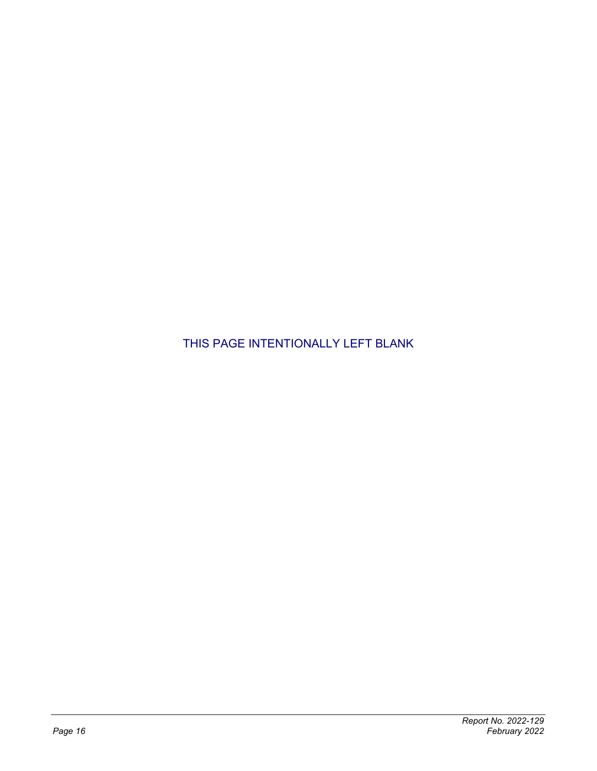THIS PAGE INTENTIONALLY LEFT BLANK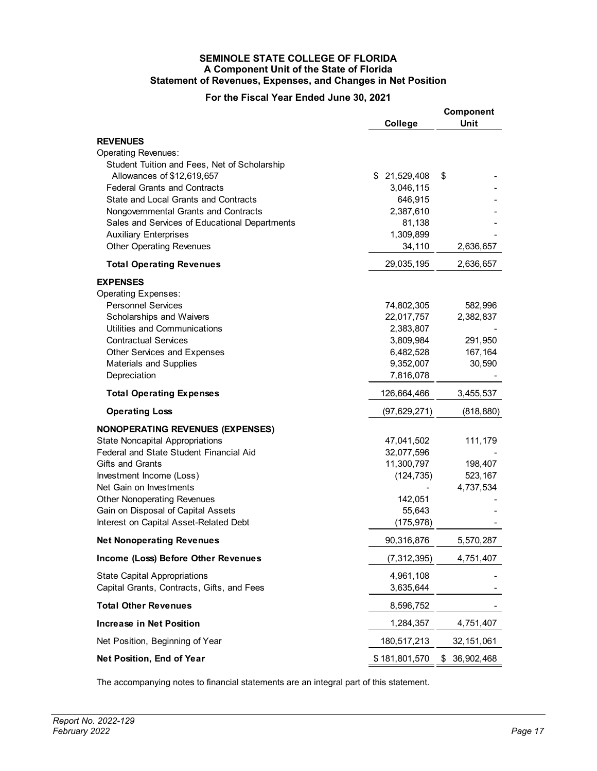#### **SEMINOLE STATE COLLEGE OF FLORIDA A Component Unit of the State of Florida Statement of Revenues, Expenses, and Changes in Net Position**

#### **For the Fiscal Year Ended June 30, 2021**

<span id="page-20-0"></span>

|                                               |                | Component        |
|-----------------------------------------------|----------------|------------------|
|                                               | College        | Unit             |
| <b>REVENUES</b>                               |                |                  |
| <b>Operating Revenues:</b>                    |                |                  |
| Student Tuition and Fees, Net of Scholarship  |                |                  |
| Allowances of \$12,619,657                    | \$21,529,408   | \$               |
| <b>Federal Grants and Contracts</b>           | 3,046,115      |                  |
| State and Local Grants and Contracts          | 646,915        |                  |
| Nongovernmental Grants and Contracts          | 2,387,610      |                  |
| Sales and Services of Educational Departments | 81,138         |                  |
| <b>Auxiliary Enterprises</b>                  | 1,309,899      |                  |
| <b>Other Operating Revenues</b>               | 34,110         | 2,636,657        |
| <b>Total Operating Revenues</b>               | 29,035,195     | 2,636,657        |
| <b>EXPENSES</b>                               |                |                  |
| <b>Operating Expenses:</b>                    |                |                  |
| <b>Personnel Services</b>                     | 74,802,305     | 582,996          |
| Scholarships and Waivers                      | 22,017,757     | 2,382,837        |
| Utilities and Communications                  | 2,383,807      |                  |
| <b>Contractual Services</b>                   | 3,809,984      | 291,950          |
| Other Services and Expenses                   | 6,482,528      | 167,164          |
| <b>Materials and Supplies</b>                 | 9,352,007      | 30,590           |
| Depreciation                                  | 7,816,078      |                  |
| <b>Total Operating Expenses</b>               | 126,664,466    | 3,455,537        |
| <b>Operating Loss</b>                         | (97, 629, 271) | (818, 880)       |
| <b>NONOPERATING REVENUES (EXPENSES)</b>       |                |                  |
| <b>State Noncapital Appropriations</b>        | 47,041,502     | 111,179          |
| Federal and State Student Financial Aid       | 32,077,596     |                  |
| <b>Gifts and Grants</b>                       | 11,300,797     | 198,407          |
| Investment Income (Loss)                      | (124, 735)     | 523,167          |
| Net Gain on Investments                       |                | 4,737,534        |
| <b>Other Nonoperating Revenues</b>            | 142,051        |                  |
| Gain on Disposal of Capital Assets            | 55,643         |                  |
| Interest on Capital Asset-Related Debt        | (175, 978)     |                  |
| <b>Net Nonoperating Revenues</b>              | 90,316,876     | 5,570,287        |
| Income (Loss) Before Other Revenues           | (7, 312, 395)  | 4,751,407        |
| <b>State Capital Appropriations</b>           | 4,961,108      |                  |
| Capital Grants, Contracts, Gifts, and Fees    | 3,635,644      |                  |
| <b>Total Other Revenues</b>                   | 8,596,752      |                  |
| <b>Increase in Net Position</b>               | 1,284,357      | 4,751,407        |
| Net Position, Beginning of Year               | 180,517,213    | 32,151,061       |
| Net Position, End of Year                     | \$181,801,570  | \$<br>36,902,468 |

The accompanying notes to financial statements are an integral part of this statement.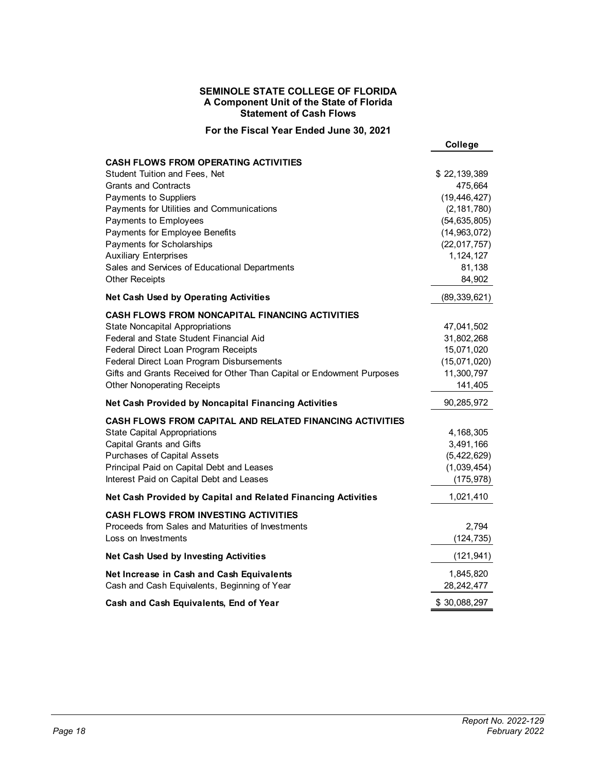#### **SEMINOLE STATE COLLEGE OF FLORIDA A Component Unit of the State of Florida Statement of Cash Flows**

**For the Fiscal Year Ended June 30, 2021** 

<span id="page-21-0"></span>

|                                                                        | College                     |
|------------------------------------------------------------------------|-----------------------------|
| <b>CASH FLOWS FROM OPERATING ACTIVITIES</b>                            |                             |
| Student Tuition and Fees, Net                                          | \$22,139,389                |
| <b>Grants and Contracts</b>                                            | 475,664                     |
| Payments to Suppliers                                                  | (19, 446, 427)              |
| Payments for Utilities and Communications                              | (2, 181, 780)               |
| Payments to Employees                                                  | (54, 635, 805)              |
| Payments for Employee Benefits                                         | (14, 963, 072)              |
| Payments for Scholarships<br><b>Auxiliary Enterprises</b>              | (22, 017, 757)<br>1,124,127 |
| Sales and Services of Educational Departments                          | 81,138                      |
| <b>Other Receipts</b>                                                  | 84,902                      |
| <b>Net Cash Used by Operating Activities</b>                           | (89, 339, 621)              |
| <b>CASH FLOWS FROM NONCAPITAL FINANCING ACTIVITIES</b>                 |                             |
| <b>State Noncapital Appropriations</b>                                 | 47,041,502                  |
| Federal and State Student Financial Aid                                | 31,802,268                  |
| Federal Direct Loan Program Receipts                                   | 15,071,020                  |
| Federal Direct Loan Program Disbursements                              | (15,071,020)                |
| Gifts and Grants Received for Other Than Capital or Endowment Purposes | 11,300,797                  |
| <b>Other Nonoperating Receipts</b>                                     | 141,405                     |
| <b>Net Cash Provided by Noncapital Financing Activities</b>            | 90,285,972                  |
| <b>CASH FLOWS FROM CAPITAL AND RELATED FINANCING ACTIVITIES</b>        |                             |
| <b>State Capital Appropriations</b>                                    | 4,168,305                   |
| <b>Capital Grants and Gifts</b>                                        | 3,491,166                   |
| <b>Purchases of Capital Assets</b>                                     | (5,422,629)                 |
| Principal Paid on Capital Debt and Leases                              | (1,039,454)                 |
| Interest Paid on Capital Debt and Leases                               | (175, 978)                  |
| Net Cash Provided by Capital and Related Financing Activities          | 1,021,410                   |
| <b>CASH FLOWS FROM INVESTING ACTIVITIES</b>                            |                             |
| Proceeds from Sales and Maturities of Investments                      | 2,794                       |
| Loss on Investments                                                    | (124, 735)                  |
| Net Cash Used by Investing Activities                                  | (121, 941)                  |
| Net Increase in Cash and Cash Equivalents                              | 1,845,820                   |
| Cash and Cash Equivalents, Beginning of Year                           | 28, 242, 477                |
| Cash and Cash Equivalents, End of Year                                 | \$30,088,297                |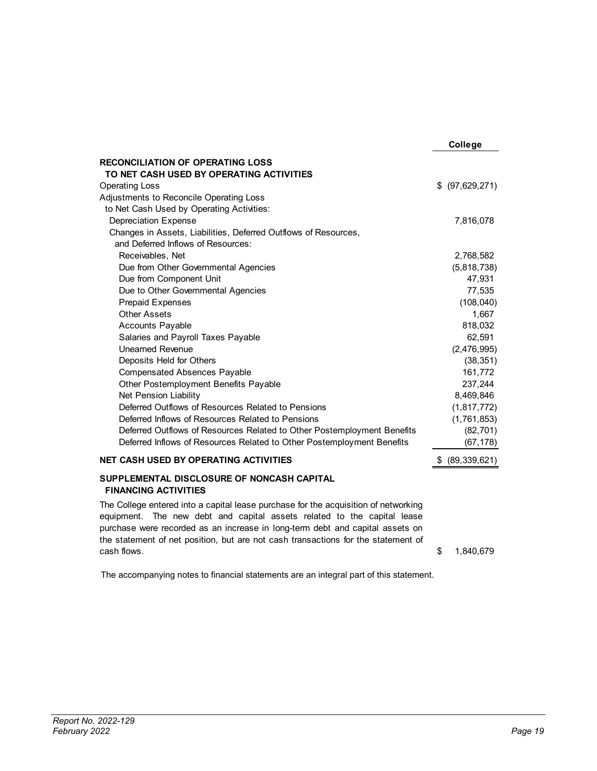|                                                                         | College              |
|-------------------------------------------------------------------------|----------------------|
| <b>RECONCILIATION OF OPERATING LOSS</b>                                 |                      |
| TO NET CASH USED BY OPERATING ACTIVITIES                                |                      |
| <b>Operating Loss</b>                                                   | \$ (97,629,271)      |
| Adjustments to Reconcile Operating Loss                                 |                      |
| to Net Cash Used by Operating Activities:                               |                      |
| <b>Depreciation Expense</b>                                             | 7,816,078            |
| Changes in Assets, Liabilities, Deferred Outflows of Resources,         |                      |
| and Deferred Inflows of Resources:                                      |                      |
| Receivables, Net                                                        | 2,768,582            |
| Due from Other Governmental Agencies                                    | (5,818,738)          |
| Due from Component Unit                                                 | 47,931               |
| Due to Other Governmental Agencies                                      | 77,535               |
| <b>Prepaid Expenses</b>                                                 | (108, 040)           |
| Other Assets                                                            | 1,667                |
| <b>Accounts Payable</b>                                                 | 818,032              |
| Salaries and Payroll Taxes Payable                                      | 62,591               |
| <b>Unearned Revenue</b>                                                 | (2,476,995)          |
| Deposits Held for Others                                                | (38, 351)            |
| <b>Compensated Absences Payable</b>                                     | 161.772              |
| Other Postemployment Benefits Payable                                   | 237,244              |
| <b>Net Pension Liability</b>                                            | 8,469,846            |
| Deferred Outflows of Resources Related to Pensions                      | (1, 817, 772)        |
| Deferred Inflows of Resources Related to Pensions                       | (1,761,853)          |
| Deferred Outflows of Resources Related to Other Postemployment Benefits | (82, 701)            |
| Deferred Inflows of Resources Related to Other Postemployment Benefits  | (67, 178)            |
| <b>NET CASH USED BY OPERATING ACTIVITIES</b>                            | (89, 339, 621)<br>\$ |
| SUPPLEMENTAL DISCLOSURE OF NONCASH CAPITAL                              |                      |

# **FINANCING ACTIVITIES**

The College entered into a capital lease purchase for the acquisition of networking equipment. The new debt and capital assets related to the capital lease purchase were recorded as an increase in long-term debt and capital assets on the statement of net position, but are not cash transactions for the statement of cash flows.

The accompanying notes to financial statements are an integral part of this statement.

\$ 1,840,679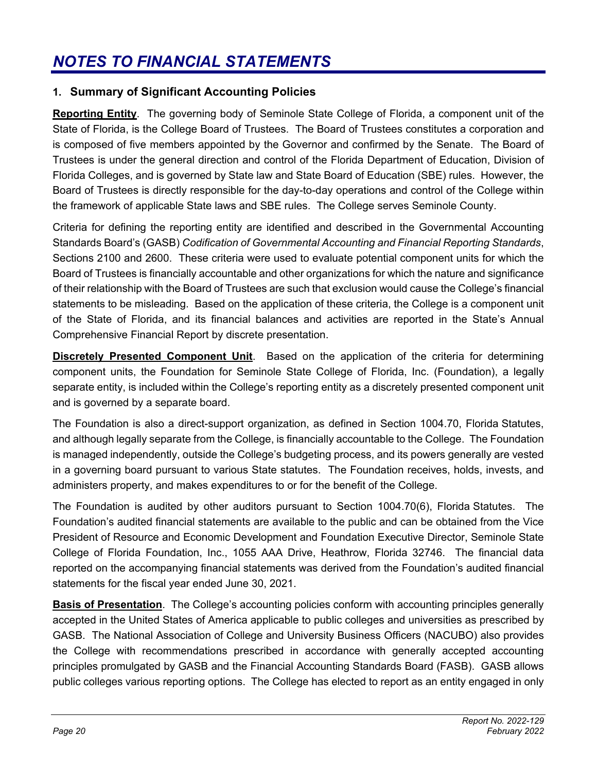# <span id="page-23-0"></span>*NOTES TO FINANCIAL STATEMENTS*

# **1. Summary of Significant Accounting Policies**

**Reporting Entity**. The governing body of Seminole State College of Florida, a component unit of the State of Florida, is the College Board of Trustees. The Board of Trustees constitutes a corporation and is composed of five members appointed by the Governor and confirmed by the Senate. The Board of Trustees is under the general direction and control of the Florida Department of Education, Division of Florida Colleges, and is governed by State law and State Board of Education (SBE) rules. However, the Board of Trustees is directly responsible for the day-to-day operations and control of the College within the framework of applicable State laws and SBE rules. The College serves Seminole County.

Criteria for defining the reporting entity are identified and described in the Governmental Accounting Standards Board's (GASB) *Codification of Governmental Accounting and Financial Reporting Standards*, Sections 2100 and 2600. These criteria were used to evaluate potential component units for which the Board of Trustees is financially accountable and other organizations for which the nature and significance of their relationship with the Board of Trustees are such that exclusion would cause the College's financial statements to be misleading. Based on the application of these criteria, the College is a component unit of the State of Florida, and its financial balances and activities are reported in the State's Annual Comprehensive Financial Report by discrete presentation.

**Discretely Presented Component Unit**. Based on the application of the criteria for determining component units, the Foundation for Seminole State College of Florida, Inc. (Foundation), a legally separate entity, is included within the College's reporting entity as a discretely presented component unit and is governed by a separate board.

The Foundation is also a direct-support organization, as defined in Section 1004.70, Florida Statutes, and although legally separate from the College, is financially accountable to the College. The Foundation is managed independently, outside the College's budgeting process, and its powers generally are vested in a governing board pursuant to various State statutes. The Foundation receives, holds, invests, and administers property, and makes expenditures to or for the benefit of the College.

The Foundation is audited by other auditors pursuant to Section 1004.70(6), Florida Statutes. The Foundation's audited financial statements are available to the public and can be obtained from the Vice President of Resource and Economic Development and Foundation Executive Director, Seminole State College of Florida Foundation, Inc., 1055 AAA Drive, Heathrow, Florida 32746. The financial data reported on the accompanying financial statements was derived from the Foundation's audited financial statements for the fiscal year ended June 30, 2021.

**Basis of Presentation**. The College's accounting policies conform with accounting principles generally accepted in the United States of America applicable to public colleges and universities as prescribed by GASB. The National Association of College and University Business Officers (NACUBO) also provides the College with recommendations prescribed in accordance with generally accepted accounting principles promulgated by GASB and the Financial Accounting Standards Board (FASB). GASB allows public colleges various reporting options. The College has elected to report as an entity engaged in only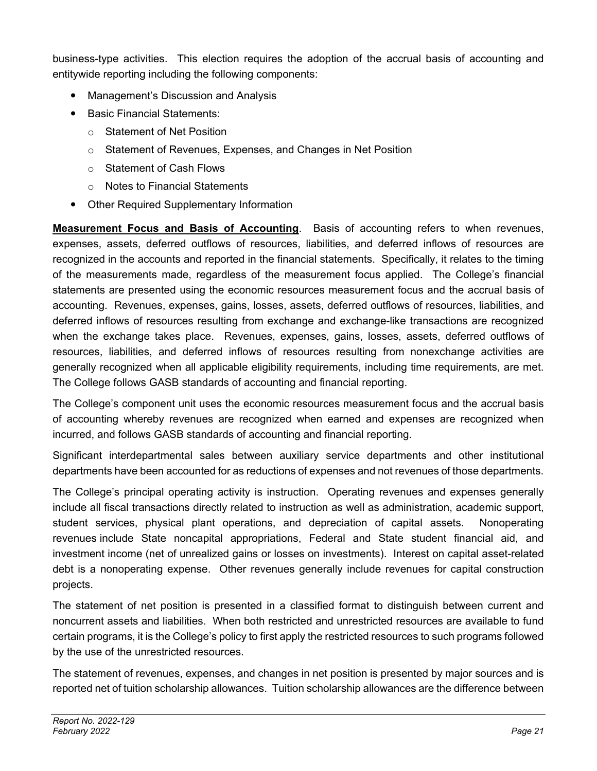business-type activities. This election requires the adoption of the accrual basis of accounting and entitywide reporting including the following components:

- Management's Discussion and Analysis
- Basic Financial Statements:
	- o Statement of Net Position
	- o Statement of Revenues, Expenses, and Changes in Net Position
	- o Statement of Cash Flows
	- o Notes to Financial Statements
- Other Required Supplementary Information

**Measurement Focus and Basis of Accounting**. Basis of accounting refers to when revenues, expenses, assets, deferred outflows of resources, liabilities, and deferred inflows of resources are recognized in the accounts and reported in the financial statements. Specifically, it relates to the timing of the measurements made, regardless of the measurement focus applied. The College's financial statements are presented using the economic resources measurement focus and the accrual basis of accounting. Revenues, expenses, gains, losses, assets, deferred outflows of resources, liabilities, and deferred inflows of resources resulting from exchange and exchange-like transactions are recognized when the exchange takes place. Revenues, expenses, gains, losses, assets, deferred outflows of resources, liabilities, and deferred inflows of resources resulting from nonexchange activities are generally recognized when all applicable eligibility requirements, including time requirements, are met. The College follows GASB standards of accounting and financial reporting.

The College's component unit uses the economic resources measurement focus and the accrual basis of accounting whereby revenues are recognized when earned and expenses are recognized when incurred, and follows GASB standards of accounting and financial reporting.

Significant interdepartmental sales between auxiliary service departments and other institutional departments have been accounted for as reductions of expenses and not revenues of those departments.

The College's principal operating activity is instruction. Operating revenues and expenses generally include all fiscal transactions directly related to instruction as well as administration, academic support, student services, physical plant operations, and depreciation of capital assets. Nonoperating revenues include State noncapital appropriations, Federal and State student financial aid, and investment income (net of unrealized gains or losses on investments). Interest on capital asset-related debt is a nonoperating expense. Other revenues generally include revenues for capital construction projects.

The statement of net position is presented in a classified format to distinguish between current and noncurrent assets and liabilities. When both restricted and unrestricted resources are available to fund certain programs, it is the College's policy to first apply the restricted resources to such programs followed by the use of the unrestricted resources.

The statement of revenues, expenses, and changes in net position is presented by major sources and is reported net of tuition scholarship allowances. Tuition scholarship allowances are the difference between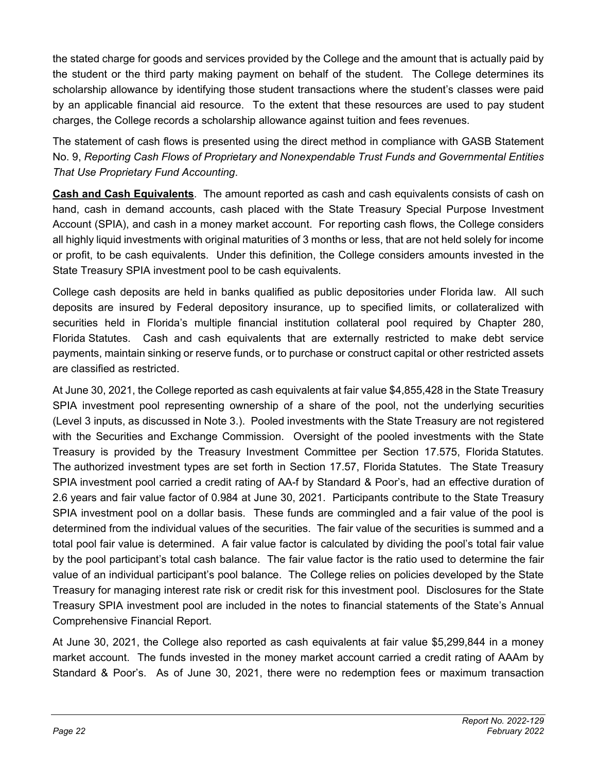the stated charge for goods and services provided by the College and the amount that is actually paid by the student or the third party making payment on behalf of the student. The College determines its scholarship allowance by identifying those student transactions where the student's classes were paid by an applicable financial aid resource. To the extent that these resources are used to pay student charges, the College records a scholarship allowance against tuition and fees revenues.

The statement of cash flows is presented using the direct method in compliance with GASB Statement No. 9, *Reporting Cash Flows of Proprietary and Nonexpendable Trust Funds and Governmental Entities That Use Proprietary Fund Accounting*.

**Cash and Cash Equivalents**. The amount reported as cash and cash equivalents consists of cash on hand, cash in demand accounts, cash placed with the State Treasury Special Purpose Investment Account (SPIA), and cash in a money market account. For reporting cash flows, the College considers all highly liquid investments with original maturities of 3 months or less, that are not held solely for income or profit, to be cash equivalents. Under this definition, the College considers amounts invested in the State Treasury SPIA investment pool to be cash equivalents.

College cash deposits are held in banks qualified as public depositories under Florida law. All such deposits are insured by Federal depository insurance, up to specified limits, or collateralized with securities held in Florida's multiple financial institution collateral pool required by Chapter 280, Florida Statutes. Cash and cash equivalents that are externally restricted to make debt service payments, maintain sinking or reserve funds, or to purchase or construct capital or other restricted assets are classified as restricted.

At June 30, 2021, the College reported as cash equivalents at fair value \$4,855,428 in the State Treasury SPIA investment pool representing ownership of a share of the pool, not the underlying securities (Level 3 inputs, as discussed in Note 3.). Pooled investments with the State Treasury are not registered with the Securities and Exchange Commission. Oversight of the pooled investments with the State Treasury is provided by the Treasury Investment Committee per Section 17.575, Florida Statutes. The authorized investment types are set forth in Section 17.57, Florida Statutes. The State Treasury SPIA investment pool carried a credit rating of AA-f by Standard & Poor's, had an effective duration of 2.6 years and fair value factor of 0.984 at June 30, 2021. Participants contribute to the State Treasury SPIA investment pool on a dollar basis. These funds are commingled and a fair value of the pool is determined from the individual values of the securities. The fair value of the securities is summed and a total pool fair value is determined. A fair value factor is calculated by dividing the pool's total fair value by the pool participant's total cash balance. The fair value factor is the ratio used to determine the fair value of an individual participant's pool balance. The College relies on policies developed by the State Treasury for managing interest rate risk or credit risk for this investment pool. Disclosures for the State Treasury SPIA investment pool are included in the notes to financial statements of the State's Annual Comprehensive Financial Report.

At June 30, 2021, the College also reported as cash equivalents at fair value \$5,299,844 in a money market account. The funds invested in the money market account carried a credit rating of AAAm by Standard & Poor's. As of June 30, 2021, there were no redemption fees or maximum transaction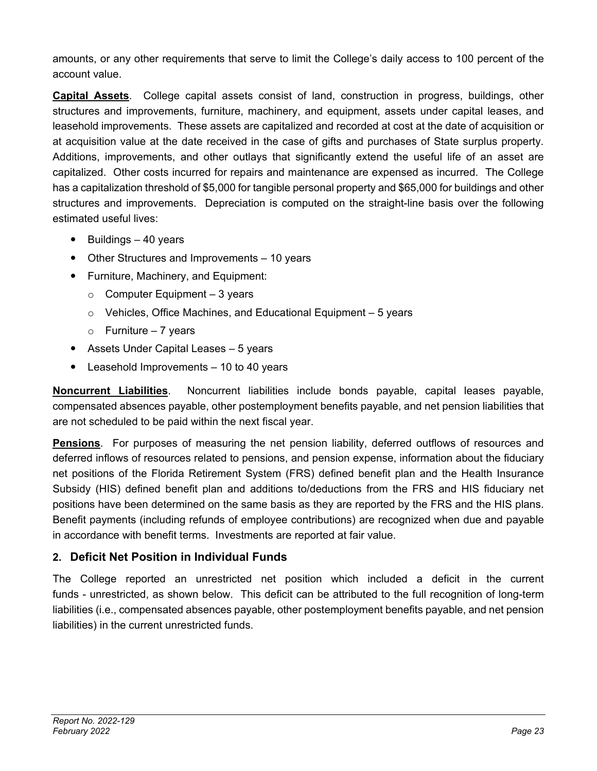amounts, or any other requirements that serve to limit the College's daily access to 100 percent of the account value.

**Capital Assets**. College capital assets consist of land, construction in progress, buildings, other structures and improvements, furniture, machinery, and equipment, assets under capital leases, and leasehold improvements. These assets are capitalized and recorded at cost at the date of acquisition or at acquisition value at the date received in the case of gifts and purchases of State surplus property. Additions, improvements, and other outlays that significantly extend the useful life of an asset are capitalized. Other costs incurred for repairs and maintenance are expensed as incurred. The College has a capitalization threshold of \$5,000 for tangible personal property and \$65,000 for buildings and other structures and improvements. Depreciation is computed on the straight-line basis over the following estimated useful lives:

- $\bullet$  Buildings  $-$  40 years
- Other Structures and Improvements 10 years
- Furniture, Machinery, and Equipment:
	- $\circ$  Computer Equipment 3 years
	- $\circ$  Vehicles, Office Machines, and Educational Equipment 5 years
	- $\circ$  Furniture 7 years
- Assets Under Capital Leases 5 years
- Leasehold Improvements 10 to 40 years

**Noncurrent Liabilities**. Noncurrent liabilities include bonds payable, capital leases payable, compensated absences payable, other postemployment benefits payable, and net pension liabilities that are not scheduled to be paid within the next fiscal year.

**Pensions**. For purposes of measuring the net pension liability, deferred outflows of resources and deferred inflows of resources related to pensions, and pension expense, information about the fiduciary net positions of the Florida Retirement System (FRS) defined benefit plan and the Health Insurance Subsidy (HIS) defined benefit plan and additions to/deductions from the FRS and HIS fiduciary net positions have been determined on the same basis as they are reported by the FRS and the HIS plans. Benefit payments (including refunds of employee contributions) are recognized when due and payable in accordance with benefit terms. Investments are reported at fair value.

# **2. Deficit Net Position in Individual Funds**

The College reported an unrestricted net position which included a deficit in the current funds - unrestricted, as shown below. This deficit can be attributed to the full recognition of long-term liabilities (i.e., compensated absences payable, other postemployment benefits payable, and net pension liabilities) in the current unrestricted funds.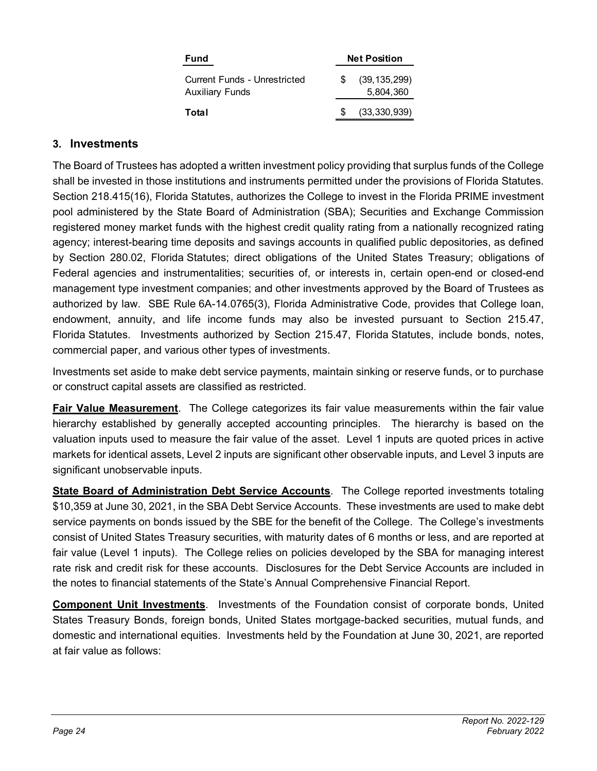| <b>Fund</b>                                                   | <b>Net Position</b>         |  |  |  |  |  |
|---------------------------------------------------------------|-----------------------------|--|--|--|--|--|
| <b>Current Funds - Unrestricted</b><br><b>Auxiliary Funds</b> | (39, 135, 299)<br>5.804.360 |  |  |  |  |  |
| Total                                                         | (33, 330, 939)              |  |  |  |  |  |
|                                                               |                             |  |  |  |  |  |

# **3. Investments**

The Board of Trustees has adopted a written investment policy providing that surplus funds of the College shall be invested in those institutions and instruments permitted under the provisions of Florida Statutes. Section 218.415(16), Florida Statutes, authorizes the College to invest in the Florida PRIME investment pool administered by the State Board of Administration (SBA); Securities and Exchange Commission registered money market funds with the highest credit quality rating from a nationally recognized rating agency; interest-bearing time deposits and savings accounts in qualified public depositories, as defined by Section 280.02, Florida Statutes; direct obligations of the United States Treasury; obligations of Federal agencies and instrumentalities; securities of, or interests in, certain open-end or closed-end management type investment companies; and other investments approved by the Board of Trustees as authorized by law. SBE Rule 6A-14.0765(3), Florida Administrative Code, provides that College loan, endowment, annuity, and life income funds may also be invested pursuant to Section 215.47, Florida Statutes. Investments authorized by Section 215.47, Florida Statutes, include bonds, notes, commercial paper, and various other types of investments.

Investments set aside to make debt service payments, maintain sinking or reserve funds, or to purchase or construct capital assets are classified as restricted.

**Fair Value Measurement**. The College categorizes its fair value measurements within the fair value hierarchy established by generally accepted accounting principles. The hierarchy is based on the valuation inputs used to measure the fair value of the asset. Level 1 inputs are quoted prices in active markets for identical assets, Level 2 inputs are significant other observable inputs, and Level 3 inputs are significant unobservable inputs.

**State Board of Administration Debt Service Accounts**. The College reported investments totaling \$10,359 at June 30, 2021, in the SBA Debt Service Accounts. These investments are used to make debt service payments on bonds issued by the SBE for the benefit of the College. The College's investments consist of United States Treasury securities, with maturity dates of 6 months or less, and are reported at fair value (Level 1 inputs). The College relies on policies developed by the SBA for managing interest rate risk and credit risk for these accounts. Disclosures for the Debt Service Accounts are included in the notes to financial statements of the State's Annual Comprehensive Financial Report.

**Component Unit Investments**. Investments of the Foundation consist of corporate bonds, United States Treasury Bonds, foreign bonds, United States mortgage-backed securities, mutual funds, and domestic and international equities. Investments held by the Foundation at June 30, 2021, are reported at fair value as follows: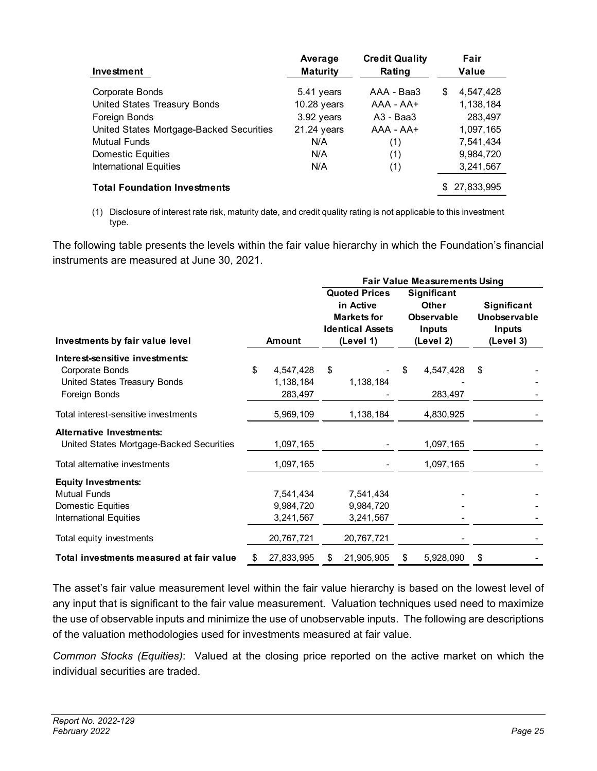| Investment                               | Average<br><b>Maturity</b> | <b>Credit Quality</b><br>Rating | Fair<br><b>Value</b> |
|------------------------------------------|----------------------------|---------------------------------|----------------------|
| Corporate Bonds                          | 5.41 years                 | AAA - Baa3                      | \$<br>4.547.428      |
| United States Treasury Bonds             | $10.28$ years              | <b>AAA - AA+</b>                | 1,138,184            |
| Foreign Bonds                            | 3.92 years                 | A3 - Baa3                       | 283,497              |
| United States Mortgage-Backed Securities | 21.24 years                | AAA - AA+                       | 1,097,165            |
| <b>Mutual Funds</b>                      | N/A                        | (1)                             | 7,541,434            |
| <b>Domestic Equities</b>                 | N/A                        | (1)                             | 9,984,720            |
| <b>International Equities</b>            | N/A                        | (1)                             | 3,241,567            |
| <b>Total Foundation Investments</b>      |                            |                                 | 27,833,995           |

(1) Disclosure of interest rate risk, maturity date, and credit quality rating is not applicable to this investment type.

The following table presents the levels within the fair value hierarchy in which the Foundation's financial instruments are measured at June 30, 2021.

|                                          |               |            | <b>Fair Value Measurements Using</b>                                                            |            |                                                                         |           |                                                           |  |  |
|------------------------------------------|---------------|------------|-------------------------------------------------------------------------------------------------|------------|-------------------------------------------------------------------------|-----------|-----------------------------------------------------------|--|--|
| Investments by fair value level          | <b>Amount</b> |            | <b>Quoted Prices</b><br>in Active<br><b>Markets for</b><br><b>Identical Assets</b><br>(Level 1) |            | Significant<br><b>Other</b><br>Observable<br><b>Inputs</b><br>(Level 2) |           | Significant<br>Unobservable<br><b>Inputs</b><br>(Level 3) |  |  |
| Interest-sensitive investments:          |               |            |                                                                                                 |            |                                                                         |           |                                                           |  |  |
| Corporate Bonds                          | \$            | 4,547,428  | \$                                                                                              |            | \$                                                                      | 4,547,428 | \$                                                        |  |  |
| United States Treasury Bonds             |               | 1,138,184  |                                                                                                 | 1,138,184  |                                                                         |           |                                                           |  |  |
| Foreign Bonds                            |               | 283,497    |                                                                                                 |            |                                                                         | 283,497   |                                                           |  |  |
| Total interest-sensitive investments     |               | 5,969,109  |                                                                                                 | 1,138,184  |                                                                         | 4,830,925 |                                                           |  |  |
| <b>Alternative Investments:</b>          |               |            |                                                                                                 |            |                                                                         |           |                                                           |  |  |
| United States Mortgage-Backed Securities |               | 1,097,165  |                                                                                                 |            |                                                                         | 1,097,165 |                                                           |  |  |
| Total alternative investments            |               | 1,097,165  |                                                                                                 |            |                                                                         | 1,097,165 |                                                           |  |  |
| <b>Equity Investments:</b>               |               |            |                                                                                                 |            |                                                                         |           |                                                           |  |  |
| <b>Mutual Funds</b>                      |               | 7,541,434  |                                                                                                 | 7,541,434  |                                                                         |           |                                                           |  |  |
| Domestic Equities                        |               | 9,984,720  |                                                                                                 | 9,984,720  |                                                                         |           |                                                           |  |  |
| <b>International Equities</b>            |               | 3,241,567  |                                                                                                 | 3,241,567  |                                                                         |           |                                                           |  |  |
| Total equity investments                 |               | 20,767,721 |                                                                                                 | 20,767,721 |                                                                         |           |                                                           |  |  |
| Total investments measured at fair value | S             | 27,833,995 | S                                                                                               | 21,905,905 | S                                                                       | 5,928,090 | \$                                                        |  |  |

The asset's fair value measurement level within the fair value hierarchy is based on the lowest level of any input that is significant to the fair value measurement. Valuation techniques used need to maximize the use of observable inputs and minimize the use of unobservable inputs. The following are descriptions of the valuation methodologies used for investments measured at fair value.

*Common Stocks (Equities)*: Valued at the closing price reported on the active market on which the individual securities are traded.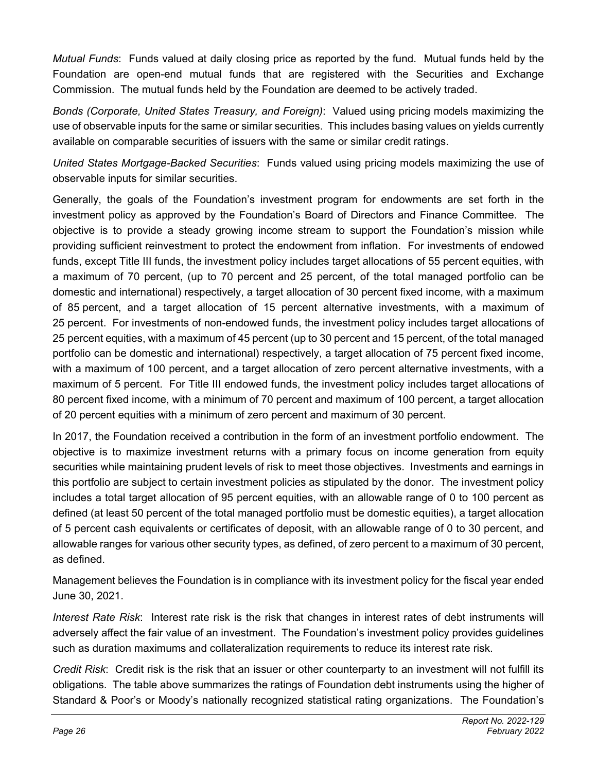*Mutual Funds*: Funds valued at daily closing price as reported by the fund. Mutual funds held by the Foundation are open-end mutual funds that are registered with the Securities and Exchange Commission. The mutual funds held by the Foundation are deemed to be actively traded.

*Bonds (Corporate, United States Treasury, and Foreign)*: Valued using pricing models maximizing the use of observable inputs for the same or similar securities. This includes basing values on yields currently available on comparable securities of issuers with the same or similar credit ratings.

*United States Mortgage-Backed Securities*: Funds valued using pricing models maximizing the use of observable inputs for similar securities.

Generally, the goals of the Foundation's investment program for endowments are set forth in the investment policy as approved by the Foundation's Board of Directors and Finance Committee. The objective is to provide a steady growing income stream to support the Foundation's mission while providing sufficient reinvestment to protect the endowment from inflation. For investments of endowed funds, except Title III funds, the investment policy includes target allocations of 55 percent equities, with a maximum of 70 percent, (up to 70 percent and 25 percent, of the total managed portfolio can be domestic and international) respectively, a target allocation of 30 percent fixed income, with a maximum of 85 percent, and a target allocation of 15 percent alternative investments, with a maximum of 25 percent. For investments of non-endowed funds, the investment policy includes target allocations of 25 percent equities, with a maximum of 45 percent (up to 30 percent and 15 percent, of the total managed portfolio can be domestic and international) respectively, a target allocation of 75 percent fixed income, with a maximum of 100 percent, and a target allocation of zero percent alternative investments, with a maximum of 5 percent. For Title III endowed funds, the investment policy includes target allocations of 80 percent fixed income, with a minimum of 70 percent and maximum of 100 percent, a target allocation of 20 percent equities with a minimum of zero percent and maximum of 30 percent.

In 2017, the Foundation received a contribution in the form of an investment portfolio endowment. The objective is to maximize investment returns with a primary focus on income generation from equity securities while maintaining prudent levels of risk to meet those objectives. Investments and earnings in this portfolio are subject to certain investment policies as stipulated by the donor. The investment policy includes a total target allocation of 95 percent equities, with an allowable range of 0 to 100 percent as defined (at least 50 percent of the total managed portfolio must be domestic equities), a target allocation of 5 percent cash equivalents or certificates of deposit, with an allowable range of 0 to 30 percent, and allowable ranges for various other security types, as defined, of zero percent to a maximum of 30 percent, as defined.

Management believes the Foundation is in compliance with its investment policy for the fiscal year ended June 30, 2021.

*Interest Rate Risk*: Interest rate risk is the risk that changes in interest rates of debt instruments will adversely affect the fair value of an investment. The Foundation's investment policy provides guidelines such as duration maximums and collateralization requirements to reduce its interest rate risk.

*Credit Risk*: Credit risk is the risk that an issuer or other counterparty to an investment will not fulfill its obligations. The table above summarizes the ratings of Foundation debt instruments using the higher of Standard & Poor's or Moody's nationally recognized statistical rating organizations. The Foundation's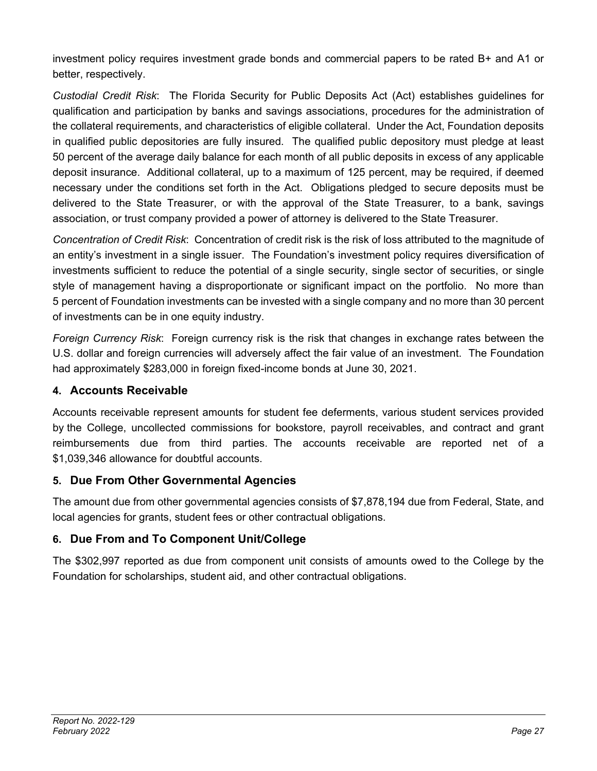investment policy requires investment grade bonds and commercial papers to be rated B+ and A1 or better, respectively.

*Custodial Credit Risk*: The Florida Security for Public Deposits Act (Act) establishes guidelines for qualification and participation by banks and savings associations, procedures for the administration of the collateral requirements, and characteristics of eligible collateral. Under the Act, Foundation deposits in qualified public depositories are fully insured. The qualified public depository must pledge at least 50 percent of the average daily balance for each month of all public deposits in excess of any applicable deposit insurance. Additional collateral, up to a maximum of 125 percent, may be required, if deemed necessary under the conditions set forth in the Act. Obligations pledged to secure deposits must be delivered to the State Treasurer, or with the approval of the State Treasurer, to a bank, savings association, or trust company provided a power of attorney is delivered to the State Treasurer.

*Concentration of Credit Risk*: Concentration of credit risk is the risk of loss attributed to the magnitude of an entity's investment in a single issuer. The Foundation's investment policy requires diversification of investments sufficient to reduce the potential of a single security, single sector of securities, or single style of management having a disproportionate or significant impact on the portfolio. No more than 5 percent of Foundation investments can be invested with a single company and no more than 30 percent of investments can be in one equity industry.

*Foreign Currency Risk*: Foreign currency risk is the risk that changes in exchange rates between the U.S. dollar and foreign currencies will adversely affect the fair value of an investment. The Foundation had approximately \$283,000 in foreign fixed-income bonds at June 30, 2021.

# **4. Accounts Receivable**

Accounts receivable represent amounts for student fee deferments, various student services provided by the College, uncollected commissions for bookstore, payroll receivables, and contract and grant reimbursements due from third parties. The accounts receivable are reported net of a \$1,039,346 allowance for doubtful accounts.

# **5. Due From Other Governmental Agencies**

The amount due from other governmental agencies consists of \$7,878,194 due from Federal, State, and local agencies for grants, student fees or other contractual obligations.

# **6. Due From and To Component Unit/College**

The \$302,997 reported as due from component unit consists of amounts owed to the College by the Foundation for scholarships, student aid, and other contractual obligations.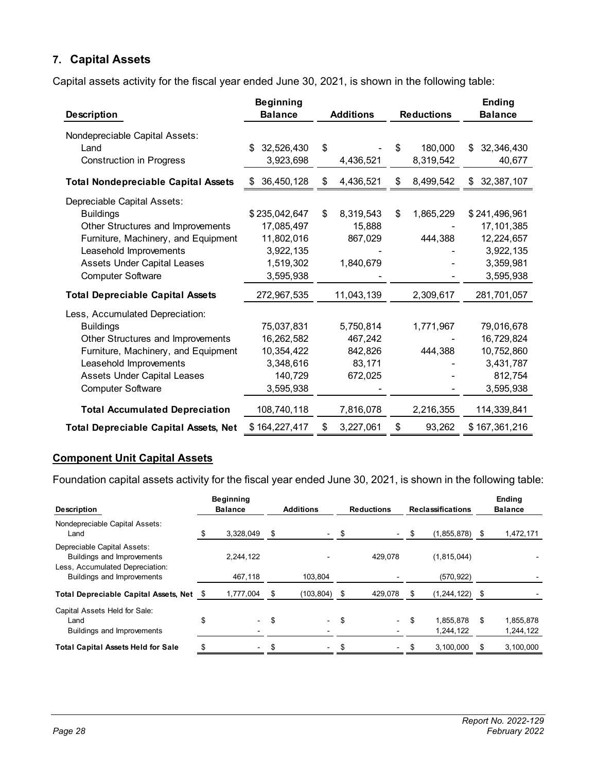# **7. Capital Assets**

Capital assets activity for the fiscal year ended June 30, 2021, is shown in the following table:

| <b>Description</b>                           | <b>Beginning</b><br><b>Additions</b><br><b>Balance</b> |    | <b>Reductions</b> | Ending<br><b>Balance</b> |                  |
|----------------------------------------------|--------------------------------------------------------|----|-------------------|--------------------------|------------------|
| Nondepreciable Capital Assets:               |                                                        |    |                   |                          |                  |
| Land                                         | 32,526,430<br>\$.                                      | \$ |                   | \$<br>180,000            | 32,346,430<br>\$ |
| <b>Construction in Progress</b>              | 3,923,698                                              |    | 4,436,521         | 8,319,542                | 40,677           |
| <b>Total Nondepreciable Capital Assets</b>   | 36,450,128<br>\$                                       | \$ | 4,436,521         | \$<br>8,499,542          | 32,387,107<br>\$ |
| Depreciable Capital Assets:                  |                                                        |    |                   |                          |                  |
| <b>Buildings</b>                             | \$235,042,647                                          | \$ | 8,319,543         | \$<br>1,865,229          | \$241,496,961    |
| Other Structures and Improvements            | 17,085,497                                             |    | 15,888            |                          | 17, 101, 385     |
| Furniture, Machinery, and Equipment          | 11,802,016                                             |    | 867,029           | 444,388                  | 12,224,657       |
| Leasehold Improvements                       | 3,922,135                                              |    |                   |                          | 3,922,135        |
| <b>Assets Under Capital Leases</b>           | 1,519,302                                              |    | 1,840,679         |                          | 3,359,981        |
| <b>Computer Software</b>                     | 3,595,938                                              |    |                   |                          | 3,595,938        |
| <b>Total Depreciable Capital Assets</b>      | 272,967,535                                            |    | 11,043,139        | 2,309,617                | 281,701,057      |
| Less, Accumulated Depreciation:              |                                                        |    |                   |                          |                  |
| <b>Buildings</b>                             | 75,037,831                                             |    | 5,750,814         | 1,771,967                | 79,016,678       |
| Other Structures and Improvements            | 16,262,582                                             |    | 467,242           |                          | 16,729,824       |
| Furniture, Machinery, and Equipment          | 10,354,422                                             |    | 842,826           | 444,388                  | 10,752,860       |
| Leasehold Improvements                       | 3,348,616                                              |    | 83,171            |                          | 3,431,787        |
| <b>Assets Under Capital Leases</b>           | 140,729                                                |    | 672,025           |                          | 812,754          |
| <b>Computer Software</b>                     | 3,595,938                                              |    |                   |                          | 3,595,938        |
| <b>Total Accumulated Depreciation</b>        | 108,740,118                                            |    | 7,816,078         | 2,216,355                | 114,339,841      |
| <b>Total Depreciable Capital Assets, Net</b> | \$164,227,417                                          | \$ | 3,227,061         | \$<br>93,262             | \$167,361,216    |

# **Component Unit Capital Assets**

Foundation capital assets activity for the fiscal year ended June 30, 2021, is shown in the following table:

| <b>Description</b>                                                                                  |     | <b>Beginning</b><br><b>Balance</b> | <b>Additions</b>               | <b>Reductions</b> | <b>Reclassifications</b>     |     | Ending<br><b>Balance</b> |
|-----------------------------------------------------------------------------------------------------|-----|------------------------------------|--------------------------------|-------------------|------------------------------|-----|--------------------------|
| Nondepreciable Capital Assets:<br>Land                                                              | -\$ | 3,328,049                          | \$                             | \$<br>Ξ.          | \$<br>(1, 855, 878)          | -S  | 1,472,171                |
| Depreciable Capital Assets:<br><b>Buildings and Improvements</b><br>Less, Accumulated Depreciation: |     | 2,244,122                          |                                | 429,078           | (1, 815, 044)                |     |                          |
| <b>Buildings and Improvements</b>                                                                   |     | 467,118                            | 103,804                        |                   | (570, 922)                   |     |                          |
| Total Depreciable Capital Assets, Net \$                                                            |     | 1,777,004                          | \$<br>$(103, 804)$ \$          | 429,078           | \$<br>(1, 244, 122)          | -\$ |                          |
| Capital Assets Held for Sale:<br>Land<br><b>Buildings and Improvements</b>                          | \$  | $\overline{\phantom{a}}$           | \$<br>$\overline{\phantom{0}}$ | \$<br>٠           | \$<br>1.855.878<br>1,244,122 | \$  | 1,855,878<br>1,244,122   |
| <b>Total Capital Assets Held for Sale</b>                                                           | \$  | $\overline{\phantom{a}}$           | \$<br>-                        | \$<br>Ξ.          | \$<br>3.100.000              | \$  | 3,100,000                |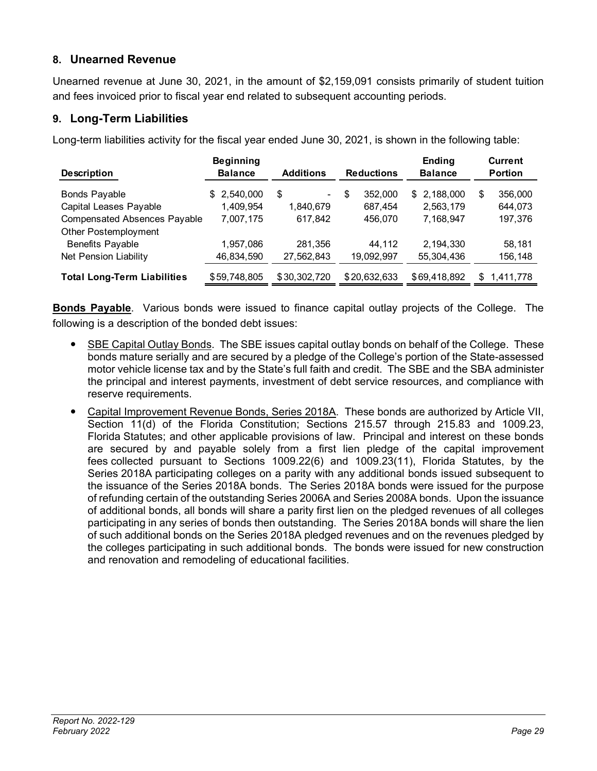# **8. Unearned Revenue**

Unearned revenue at June 30, 2021, in the amount of \$2,159,091 consists primarily of student tuition and fees invoiced prior to fiscal year end related to subsequent accounting periods.

# **9. Long-Term Liabilities**

Long-term liabilities activity for the fiscal year ended June 30, 2021, is shown in the following table:

|                                     | <b>Beginning</b> |                  |                   | <b>Ending</b>  | <b>Current</b> |  |
|-------------------------------------|------------------|------------------|-------------------|----------------|----------------|--|
| <b>Description</b>                  | <b>Balance</b>   | <b>Additions</b> | <b>Reductions</b> | <b>Balance</b> | <b>Portion</b> |  |
| <b>Bonds Payable</b>                | \$2,540,000      | \$               | 352,000<br>\$     | 2,188,000<br>S | 356,000<br>\$  |  |
| Capital Leases Payable              | 1.409.954        | 1.840.679        | 687,454           | 2,563,179      | 644,073        |  |
| <b>Compensated Absences Payable</b> | 7,007,175        | 617,842          | 456.070           | 7,168,947      | 197,376        |  |
| <b>Other Postemployment</b>         |                  |                  |                   |                |                |  |
| <b>Benefits Payable</b>             | 1,957,086        | 281,356          | 44.112            | 2,194,330      | 58,181         |  |
| <b>Net Pension Liability</b>        | 46,834,590       | 27,562,843       | 19,092,997        | 55,304,436     | 156,148        |  |
| <b>Total Long-Term Liabilities</b>  | \$59,748,805     | \$30,302,720     | \$20,632,633      | \$69,418,892   | \$1,411,778    |  |

**Bonds Payable**. Various bonds were issued to finance capital outlay projects of the College. The following is a description of the bonded debt issues:

- SBE Capital Outlay Bonds. The SBE issues capital outlay bonds on behalf of the College. These bonds mature serially and are secured by a pledge of the College's portion of the State-assessed motor vehicle license tax and by the State's full faith and credit. The SBE and the SBA administer the principal and interest payments, investment of debt service resources, and compliance with reserve requirements.
- Capital Improvement Revenue Bonds, Series 2018A. These bonds are authorized by Article VII, Section 11(d) of the Florida Constitution; Sections 215.57 through 215.83 and 1009.23, Florida Statutes; and other applicable provisions of law. Principal and interest on these bonds are secured by and payable solely from a first lien pledge of the capital improvement fees collected pursuant to Sections 1009.22(6) and 1009.23(11), Florida Statutes, by the Series 2018A participating colleges on a parity with any additional bonds issued subsequent to the issuance of the Series 2018A bonds. The Series 2018A bonds were issued for the purpose of refunding certain of the outstanding Series 2006A and Series 2008A bonds. Upon the issuance of additional bonds, all bonds will share a parity first lien on the pledged revenues of all colleges participating in any series of bonds then outstanding. The Series 2018A bonds will share the lien of such additional bonds on the Series 2018A pledged revenues and on the revenues pledged by the colleges participating in such additional bonds. The bonds were issued for new construction and renovation and remodeling of educational facilities.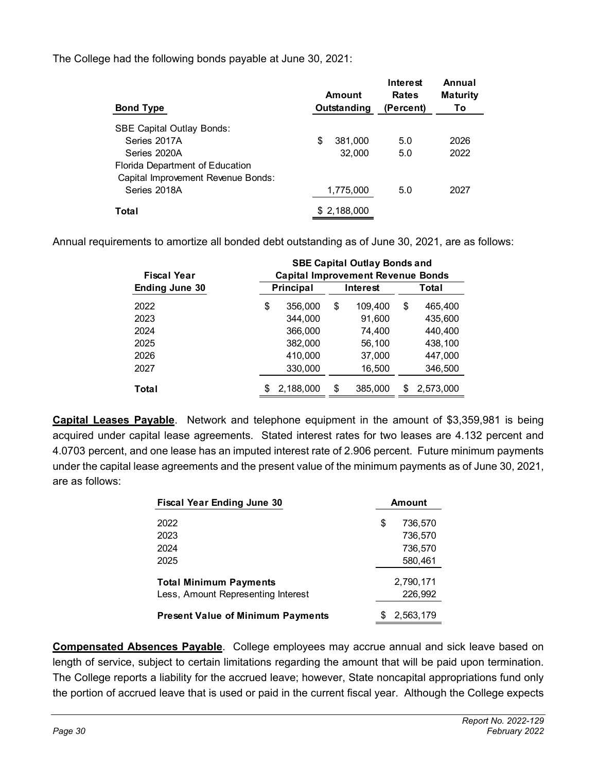The College had the following bonds payable at June 30, 2021:

| <b>Bond Type</b>                   | Amount<br>Outstanding | Interest<br><b>Rates</b><br>(Percent) | Annual<br><b>Maturity</b><br>To |
|------------------------------------|-----------------------|---------------------------------------|---------------------------------|
| <b>SBE Capital Outlay Bonds:</b>   |                       |                                       |                                 |
| Series 2017A                       | \$<br>381,000         | 5.0                                   | 2026                            |
| Series 2020A                       | 32,000                | 5.0                                   | 2022                            |
| Florida Department of Education    |                       |                                       |                                 |
| Capital Improvement Revenue Bonds: |                       |                                       |                                 |
| Series 2018A                       | 1,775,000             | 5.0                                   | 2027                            |
| Total                              | \$2,188,000           |                                       |                                 |

Annual requirements to amortize all bonded debt outstanding as of June 30, 2021, are as follows:

| Fiscal Year           | <b>SBE Capital Outlay Bonds and</b><br><b>Capital Improvement Revenue Bonds</b> |           |     |          |    |           |  |  |
|-----------------------|---------------------------------------------------------------------------------|-----------|-----|----------|----|-----------|--|--|
| <b>Ending June 30</b> | <b>Principal</b>                                                                |           |     | Interest |    | Total     |  |  |
| 2022                  | \$                                                                              | 356,000   | \$  | 109,400  | \$ | 465,400   |  |  |
| 2023                  |                                                                                 | 344,000   |     | 91,600   |    | 435,600   |  |  |
| 2024                  |                                                                                 | 366,000   |     | 74,400   |    | 440,400   |  |  |
| 2025                  |                                                                                 | 382,000   |     | 56,100   |    | 438,100   |  |  |
| 2026                  |                                                                                 | 410,000   |     | 37,000   |    | 447,000   |  |  |
| 2027                  |                                                                                 | 330,000   |     | 16,500   |    | 346,500   |  |  |
| Total                 | \$                                                                              | 2,188,000 | \$. | 385,000  | \$ | 2,573,000 |  |  |

**Capital Leases Payable**. Network and telephone equipment in the amount of \$3,359,981 is being acquired under capital lease agreements. Stated interest rates for two leases are 4.132 percent and 4.0703 percent, and one lease has an imputed interest rate of 2.906 percent. Future minimum payments under the capital lease agreements and the present value of the minimum payments as of June 30, 2021, are as follows:

| <b>Fiscal Year Ending June 30</b>                                   | <b>Amount</b> |                      |  |  |
|---------------------------------------------------------------------|---------------|----------------------|--|--|
| 2022<br>2023                                                        | \$            | 736,570<br>736,570   |  |  |
| 2024<br>2025                                                        |               | 736.570<br>580,461   |  |  |
| <b>Total Minimum Payments</b><br>Less, Amount Representing Interest |               | 2,790,171<br>226,992 |  |  |
| <b>Present Value of Minimum Payments</b>                            |               | 2,563,179            |  |  |

**Compensated Absences Payable**. College employees may accrue annual and sick leave based on length of service, subject to certain limitations regarding the amount that will be paid upon termination. The College reports a liability for the accrued leave; however, State noncapital appropriations fund only the portion of accrued leave that is used or paid in the current fiscal year. Although the College expects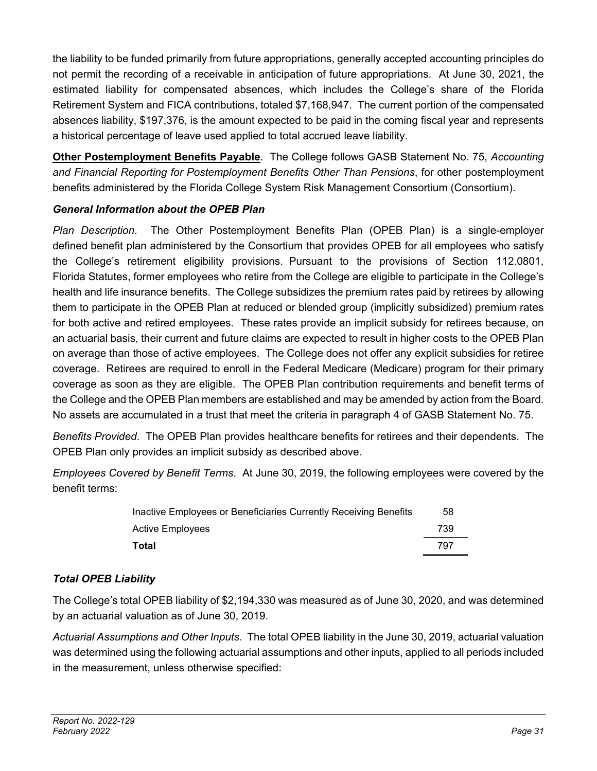the liability to be funded primarily from future appropriations, generally accepted accounting principles do not permit the recording of a receivable in anticipation of future appropriations. At June 30, 2021, the estimated liability for compensated absences, which includes the College's share of the Florida Retirement System and FICA contributions, totaled \$7,168,947. The current portion of the compensated absences liability, \$197,376, is the amount expected to be paid in the coming fiscal year and represents a historical percentage of leave used applied to total accrued leave liability.

**Other Postemployment Benefits Payable**. The College follows GASB Statement No. 75, *Accounting and Financial Reporting for Postemployment Benefits Other Than Pensions*, for other postemployment benefits administered by the Florida College System Risk Management Consortium (Consortium).

# *General Information about the OPEB Plan*

*Plan Description*. The Other Postemployment Benefits Plan (OPEB Plan) is a single-employer defined benefit plan administered by the Consortium that provides OPEB for all employees who satisfy the College's retirement eligibility provisions. Pursuant to the provisions of Section 112.0801, Florida Statutes, former employees who retire from the College are eligible to participate in the College's health and life insurance benefits. The College subsidizes the premium rates paid by retirees by allowing them to participate in the OPEB Plan at reduced or blended group (implicitly subsidized) premium rates for both active and retired employees. These rates provide an implicit subsidy for retirees because, on an actuarial basis, their current and future claims are expected to result in higher costs to the OPEB Plan on average than those of active employees. The College does not offer any explicit subsidies for retiree coverage. Retirees are required to enroll in the Federal Medicare (Medicare) program for their primary coverage as soon as they are eligible. The OPEB Plan contribution requirements and benefit terms of the College and the OPEB Plan members are established and may be amended by action from the Board. No assets are accumulated in a trust that meet the criteria in paragraph 4 of GASB Statement No. 75.

*Benefits Provided*. The OPEB Plan provides healthcare benefits for retirees and their dependents. The OPEB Plan only provides an implicit subsidy as described above.

*Employees Covered by Benefit Terms*. At June 30, 2019, the following employees were covered by the benefit terms:

| Inactive Employees or Beneficiaries Currently Receiving Benefits | 58  |
|------------------------------------------------------------------|-----|
| Active Employees                                                 | 739 |
| Total                                                            | 797 |

# *Total OPEB Liability*

The College's total OPEB liability of \$2,194,330 was measured as of June 30, 2020, and was determined by an actuarial valuation as of June 30, 2019.

*Actuarial Assumptions and Other Inputs*. The total OPEB liability in the June 30, 2019, actuarial valuation was determined using the following actuarial assumptions and other inputs, applied to all periods included in the measurement, unless otherwise specified: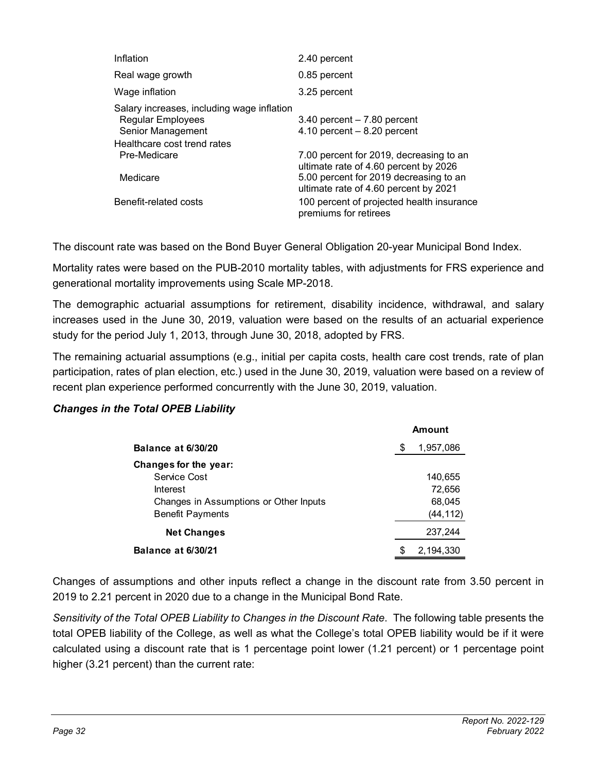| Inflation                                                                                   | 2.40 percent                                                                     |
|---------------------------------------------------------------------------------------------|----------------------------------------------------------------------------------|
| Real wage growth                                                                            | 0.85 percent                                                                     |
| Wage inflation                                                                              | 3.25 percent                                                                     |
| Salary increases, including wage inflation<br><b>Regular Employees</b><br>Senior Management | $3.40$ percent $-7.80$ percent<br>4.10 percent $-8.20$ percent                   |
| Healthcare cost trend rates<br>Pre-Medicare                                                 | 7.00 percent for 2019, decreasing to an<br>ultimate rate of 4.60 percent by 2026 |
| Medicare                                                                                    | 5.00 percent for 2019 decreasing to an<br>ultimate rate of 4.60 percent by 2021  |
| Benefit-related costs                                                                       | 100 percent of projected health insurance<br>premiums for retirees               |

The discount rate was based on the Bond Buyer General Obligation 20-year Municipal Bond Index.

Mortality rates were based on the PUB-2010 mortality tables, with adjustments for FRS experience and generational mortality improvements using Scale MP-2018.

The demographic actuarial assumptions for retirement, disability incidence, withdrawal, and salary increases used in the June 30, 2019, valuation were based on the results of an actuarial experience study for the period July 1, 2013, through June 30, 2018, adopted by FRS.

The remaining actuarial assumptions (e.g., initial per capita costs, health care cost trends, rate of plan participation, rates of plan election, etc.) used in the June 30, 2019, valuation were based on a review of recent plan experience performed concurrently with the June 30, 2019, valuation.

# *Changes in the Total OPEB Liability*

|                                        | <b>Amount</b>   |
|----------------------------------------|-----------------|
| Balance at 6/30/20                     | \$<br>1,957,086 |
| Changes for the year:                  |                 |
| Service Cost                           | 140,655         |
| Interest                               | 72,656          |
| Changes in Assumptions or Other Inputs | 68,045          |
| <b>Benefit Payments</b>                | (44, 112)       |
| <b>Net Changes</b>                     | 237,244         |
| Balance at 6/30/21                     | \$<br>2.194.330 |

Changes of assumptions and other inputs reflect a change in the discount rate from 3.50 percent in 2019 to 2.21 percent in 2020 due to a change in the Municipal Bond Rate.

*Sensitivity of the Total OPEB Liability to Changes in the Discount Rate*. The following table presents the total OPEB liability of the College, as well as what the College's total OPEB liability would be if it were calculated using a discount rate that is 1 percentage point lower (1.21 percent) or 1 percentage point higher (3.21 percent) than the current rate: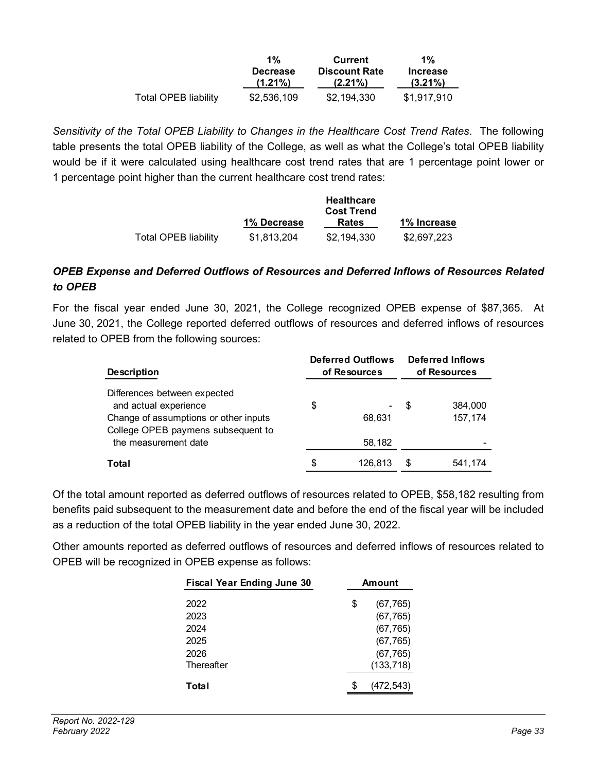|                      | 1%                            | Current                            | $1\%$                         |
|----------------------|-------------------------------|------------------------------------|-------------------------------|
|                      | <b>Decrease</b><br>$(1.21\%)$ | <b>Discount Rate</b><br>$(2.21\%)$ | <b>Increase</b><br>$(3.21\%)$ |
| Total OPEB liability | \$2,536,109                   | \$2.194.330                        | \$1.917.910                   |

*Sensitivity of the Total OPEB Liability to Changes in the Healthcare Cost Trend Rates*. The following table presents the total OPEB liability of the College, as well as what the College's total OPEB liability would be if it were calculated using healthcare cost trend rates that are 1 percentage point lower or 1 percentage point higher than the current healthcare cost trend rates:

|                             |             | <b>Healthcare</b><br><b>Cost Trend</b> |             |
|-----------------------------|-------------|----------------------------------------|-------------|
|                             | 1% Decrease | Rates                                  | 1% Increase |
| <b>Total OPEB liability</b> | \$1.813.204 | \$2.194.330                            | \$2.697.223 |

# *OPEB Expense and Deferred Outflows of Resources and Deferred Inflows of Resources Related to OPEB*

For the fiscal year ended June 30, 2021, the College recognized OPEB expense of \$87,365. At June 30, 2021, the College reported deferred outflows of resources and deferred inflows of resources related to OPEB from the following sources:

| <b>Description</b>                                                                                                                   |    | <b>Deferred Outflows</b><br>of Resources |   | <b>Deferred Inflows</b><br>of Resources |
|--------------------------------------------------------------------------------------------------------------------------------------|----|------------------------------------------|---|-----------------------------------------|
| Differences between expected<br>and actual experience<br>Change of assumptions or other inputs<br>College OPEB paymens subsequent to | \$ | 68,631                                   | S | 384,000<br>157,174                      |
| the measurement date                                                                                                                 |    | 58,182                                   |   |                                         |
| Total                                                                                                                                | S  | 126,813                                  | S | 541,174                                 |

Of the total amount reported as deferred outflows of resources related to OPEB, \$58,182 resulting from benefits paid subsequent to the measurement date and before the end of the fiscal year will be included as a reduction of the total OPEB liability in the year ended June 30, 2022.

Other amounts reported as deferred outflows of resources and deferred inflows of resources related to OPEB will be recognized in OPEB expense as follows:

| <b>Fiscal Year Ending June 30</b> | Amount          |
|-----------------------------------|-----------------|
| 2022                              | \$<br>(67, 765) |
| 2023                              | (67, 765)       |
| 2024                              | (67, 765)       |
| 2025                              | (67, 765)       |
| 2026                              | (67, 765)       |
| Thereafter                        | (133, 718)      |
| Total                             | (472,543)       |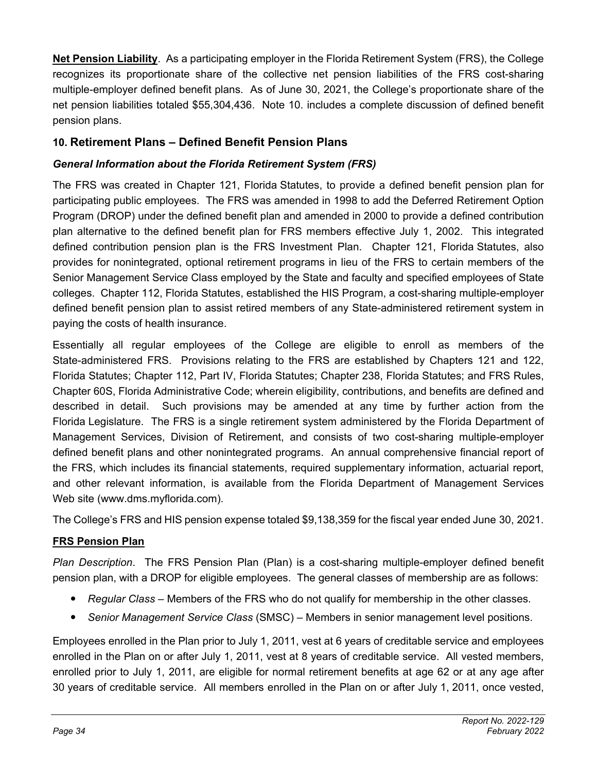**Net Pension Liability**. As a participating employer in the Florida Retirement System (FRS), the College recognizes its proportionate share of the collective net pension liabilities of the FRS cost-sharing multiple-employer defined benefit plans. As of June 30, 2021, the College's proportionate share of the net pension liabilities totaled \$55,304,436. Note 10. includes a complete discussion of defined benefit pension plans.

# **10. Retirement Plans – Defined Benefit Pension Plans**

# *General Information about the Florida Retirement System (FRS)*

The FRS was created in Chapter 121, Florida Statutes, to provide a defined benefit pension plan for participating public employees. The FRS was amended in 1998 to add the Deferred Retirement Option Program (DROP) under the defined benefit plan and amended in 2000 to provide a defined contribution plan alternative to the defined benefit plan for FRS members effective July 1, 2002. This integrated defined contribution pension plan is the FRS Investment Plan. Chapter 121, Florida Statutes, also provides for nonintegrated, optional retirement programs in lieu of the FRS to certain members of the Senior Management Service Class employed by the State and faculty and specified employees of State colleges. Chapter 112, Florida Statutes, established the HIS Program, a cost-sharing multiple-employer defined benefit pension plan to assist retired members of any State-administered retirement system in paying the costs of health insurance.

Essentially all regular employees of the College are eligible to enroll as members of the State-administered FRS. Provisions relating to the FRS are established by Chapters 121 and 122, Florida Statutes; Chapter 112, Part IV, Florida Statutes; Chapter 238, Florida Statutes; and FRS Rules, Chapter 60S, Florida Administrative Code; wherein eligibility, contributions, and benefits are defined and described in detail. Such provisions may be amended at any time by further action from the Florida Legislature. The FRS is a single retirement system administered by the Florida Department of Management Services, Division of Retirement, and consists of two cost-sharing multiple-employer defined benefit plans and other nonintegrated programs. An annual comprehensive financial report of the FRS, which includes its financial statements, required supplementary information, actuarial report, and other relevant information, is available from the Florida Department of Management Services Web site (www.dms.myflorida.com).

The College's FRS and HIS pension expense totaled \$9,138,359 for the fiscal year ended June 30, 2021.

# **FRS Pension Plan**

*Plan Description*. The FRS Pension Plan (Plan) is a cost-sharing multiple-employer defined benefit pension plan, with a DROP for eligible employees. The general classes of membership are as follows:

- *Regular Class* Members of the FRS who do not qualify for membership in the other classes.
- *Senior Management Service Class* (SMSC) Members in senior management level positions.

Employees enrolled in the Plan prior to July 1, 2011, vest at 6 years of creditable service and employees enrolled in the Plan on or after July 1, 2011, vest at 8 years of creditable service. All vested members, enrolled prior to July 1, 2011, are eligible for normal retirement benefits at age 62 or at any age after 30 years of creditable service. All members enrolled in the Plan on or after July 1, 2011, once vested,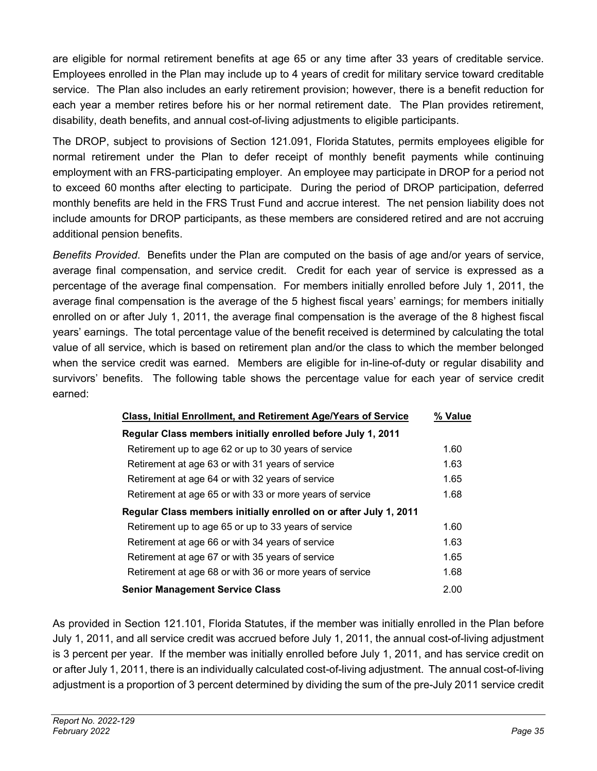are eligible for normal retirement benefits at age 65 or any time after 33 years of creditable service. Employees enrolled in the Plan may include up to 4 years of credit for military service toward creditable service. The Plan also includes an early retirement provision; however, there is a benefit reduction for each year a member retires before his or her normal retirement date. The Plan provides retirement, disability, death benefits, and annual cost-of-living adjustments to eligible participants.

The DROP, subject to provisions of Section 121.091, Florida Statutes, permits employees eligible for normal retirement under the Plan to defer receipt of monthly benefit payments while continuing employment with an FRS-participating employer. An employee may participate in DROP for a period not to exceed 60 months after electing to participate. During the period of DROP participation, deferred monthly benefits are held in the FRS Trust Fund and accrue interest. The net pension liability does not include amounts for DROP participants, as these members are considered retired and are not accruing additional pension benefits.

*Benefits Provided*. Benefits under the Plan are computed on the basis of age and/or years of service, average final compensation, and service credit. Credit for each year of service is expressed as a percentage of the average final compensation. For members initially enrolled before July 1, 2011, the average final compensation is the average of the 5 highest fiscal years' earnings; for members initially enrolled on or after July 1, 2011, the average final compensation is the average of the 8 highest fiscal years' earnings. The total percentage value of the benefit received is determined by calculating the total value of all service, which is based on retirement plan and/or the class to which the member belonged when the service credit was earned. Members are eligible for in-line-of-duty or regular disability and survivors' benefits. The following table shows the percentage value for each year of service credit earned:

| Class, Initial Enrollment, and Retirement Age/Years of Service    | % Value |
|-------------------------------------------------------------------|---------|
| Regular Class members initially enrolled before July 1, 2011      |         |
| Retirement up to age 62 or up to 30 years of service              | 1.60    |
| Retirement at age 63 or with 31 years of service                  | 1.63    |
| Retirement at age 64 or with 32 years of service                  | 1.65    |
| Retirement at age 65 or with 33 or more years of service          | 1.68    |
| Regular Class members initially enrolled on or after July 1, 2011 |         |
| Retirement up to age 65 or up to 33 years of service              | 1.60    |
| Retirement at age 66 or with 34 years of service                  | 1.63    |
| Retirement at age 67 or with 35 years of service                  | 1.65    |
| Retirement at age 68 or with 36 or more years of service          | 1.68    |
| <b>Senior Management Service Class</b>                            | 2.00    |

As provided in Section 121.101, Florida Statutes, if the member was initially enrolled in the Plan before July 1, 2011, and all service credit was accrued before July 1, 2011, the annual cost-of-living adjustment is 3 percent per year. If the member was initially enrolled before July 1, 2011, and has service credit on or after July 1, 2011, there is an individually calculated cost-of-living adjustment. The annual cost-of-living adjustment is a proportion of 3 percent determined by dividing the sum of the pre-July 2011 service credit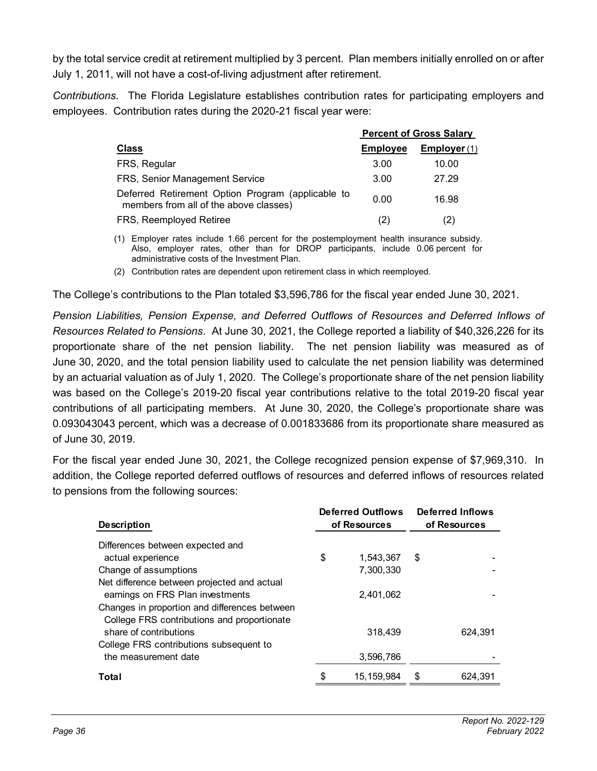by the total service credit at retirement multiplied by 3 percent. Plan members initially enrolled on or after July 1, 2011, will not have a cost-of-living adjustment after retirement.

*Contributions*. The Florida Legislature establishes contribution rates for participating employers and employees. Contribution rates during the 2020-21 fiscal year were:

|                                                                                             | <b>Percent of Gross Salary</b> |                |
|---------------------------------------------------------------------------------------------|--------------------------------|----------------|
| <b>Class</b>                                                                                | <b>Employee</b>                | Employer $(1)$ |
| FRS, Regular                                                                                | 3.00                           | 10.00          |
| FRS, Senior Management Service                                                              | 3.00                           | 27.29          |
| Deferred Retirement Option Program (applicable to<br>members from all of the above classes) | 0.00                           | 16.98          |
| FRS, Reemployed Retiree                                                                     |                                |                |

(1) Employer rates include 1.66 percent for the postemployment health insurance subsidy. Also, employer rates, other than for DROP participants, include 0.06 percent for administrative costs of the Investment Plan.

(2) Contribution rates are dependent upon retirement class in which reemployed.

The College's contributions to the Plan totaled \$3,596,786 for the fiscal year ended June 30, 2021.

*Pension Liabilities, Pension Expense, and Deferred Outflows of Resources and Deferred Inflows of Resources Related to Pensions*. At June 30, 2021, the College reported a liability of \$40,326,226 for its proportionate share of the net pension liability. The net pension liability was measured as of June 30, 2020, and the total pension liability used to calculate the net pension liability was determined by an actuarial valuation as of July 1, 2020. The College's proportionate share of the net pension liability was based on the College's 2019-20 fiscal year contributions relative to the total 2019-20 fiscal year contributions of all participating members. At June 30, 2020, the College's proportionate share was 0.093043043 percent, which was a decrease of 0.001833686 from its proportionate share measured as of June 30, 2019.

For the fiscal year ended June 30, 2021, the College recognized pension expense of \$7,969,310. In addition, the College reported deferred outflows of resources and deferred inflows of resources related to pensions from the following sources:

| <b>Description</b>                            | <b>Deferred Outflows</b><br>of Resources |    | <b>Deferred Inflows</b><br>of Resources |
|-----------------------------------------------|------------------------------------------|----|-----------------------------------------|
| Differences between expected and              |                                          |    |                                         |
| actual experience                             | \$<br>1,543,367                          | S  |                                         |
| Change of assumptions                         | 7,300,330                                |    |                                         |
| Net difference between projected and actual   |                                          |    |                                         |
| earnings on FRS Plan investments              | 2,401,062                                |    |                                         |
| Changes in proportion and differences between |                                          |    |                                         |
| College FRS contributions and proportionate   |                                          |    |                                         |
| share of contributions                        | 318,439                                  |    | 624,391                                 |
| College FRS contributions subsequent to       |                                          |    |                                         |
| the measurement date                          | 3,596,786                                |    |                                         |
| Total                                         | \$<br>15, 159, 984                       | \$ | 624.391                                 |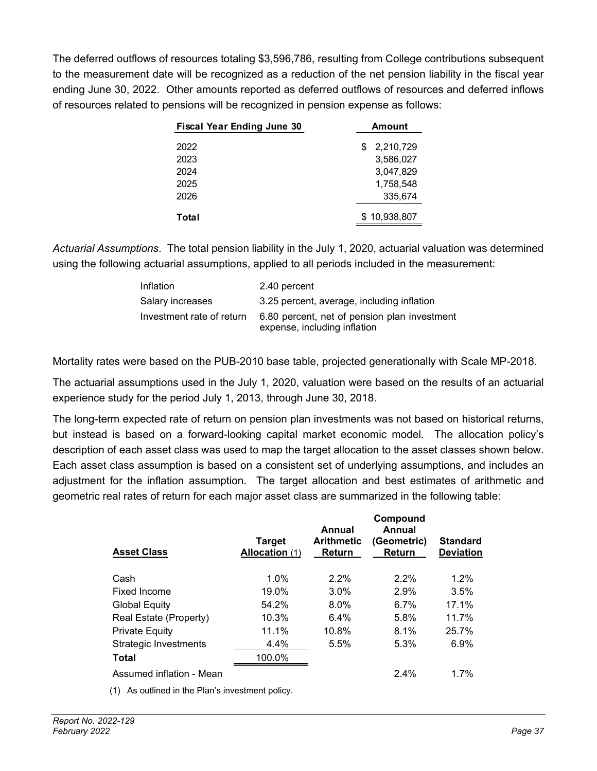The deferred outflows of resources totaling \$3,596,786, resulting from College contributions subsequent to the measurement date will be recognized as a reduction of the net pension liability in the fiscal year ending June 30, 2022. Other amounts reported as deferred outflows of resources and deferred inflows of resources related to pensions will be recognized in pension expense as follows:

| <b>Fiscal Year Ending June 30</b><br>Amount |                 |
|---------------------------------------------|-----------------|
| 2022                                        | 2,210,729<br>S. |
| 2023                                        | 3,586,027       |
| 2024                                        | 3,047,829       |
| 2025                                        | 1,758,548       |
| 2026                                        | 335,674         |
| Total                                       | \$10,938,807    |

*Actuarial Assumptions*. The total pension liability in the July 1, 2020, actuarial valuation was determined using the following actuarial assumptions, applied to all periods included in the measurement:

| Inflation                 | 2.40 percent                                                                 |
|---------------------------|------------------------------------------------------------------------------|
| Salary increases          | 3.25 percent, average, including inflation                                   |
| Investment rate of return | 6.80 percent, net of pension plan investment<br>expense, including inflation |

Mortality rates were based on the PUB-2010 base table, projected generationally with Scale MP-2018.

The actuarial assumptions used in the July 1, 2020, valuation were based on the results of an actuarial experience study for the period July 1, 2013, through June 30, 2018.

The long-term expected rate of return on pension plan investments was not based on historical returns, but instead is based on a forward-looking capital market economic model. The allocation policy's description of each asset class was used to map the target allocation to the asset classes shown below. Each asset class assumption is based on a consistent set of underlying assumptions, and includes an adjustment for the inflation assumption. The target allocation and best estimates of arithmetic and geometric real rates of return for each major asset class are summarized in the following table:

| <b>Asset Class</b>           | <b>Target</b><br>Allocation (1) | Annual<br><b>Arithmetic</b><br>Return | Compound<br>Annual<br>(Geometric)<br>Return | <b>Standard</b><br><b>Deviation</b> |
|------------------------------|---------------------------------|---------------------------------------|---------------------------------------------|-------------------------------------|
| Cash                         | $1.0\%$                         | $2.2\%$                               | $2.2\%$                                     | $1.2\%$                             |
| Fixed Income                 | 19.0%                           | $3.0\%$                               | 2.9%                                        | 3.5%                                |
| <b>Global Equity</b>         | 54.2%                           | $8.0\%$                               | 6.7%                                        | 17.1%                               |
| Real Estate (Property)       | 10.3%                           | 6.4%                                  | 5.8%                                        | 11.7%                               |
| <b>Private Equity</b>        | 11.1%                           | 10.8%                                 | 8.1%                                        | 25.7%                               |
| <b>Strategic Investments</b> | 4.4%                            | 5.5%                                  | 5.3%                                        | 6.9%                                |
| <b>Total</b>                 | 100.0%                          |                                       |                                             |                                     |
| Assumed inflation - Mean     |                                 |                                       | 2.4%                                        | 1.7%                                |

(1) As outlined in the Plan's investment policy.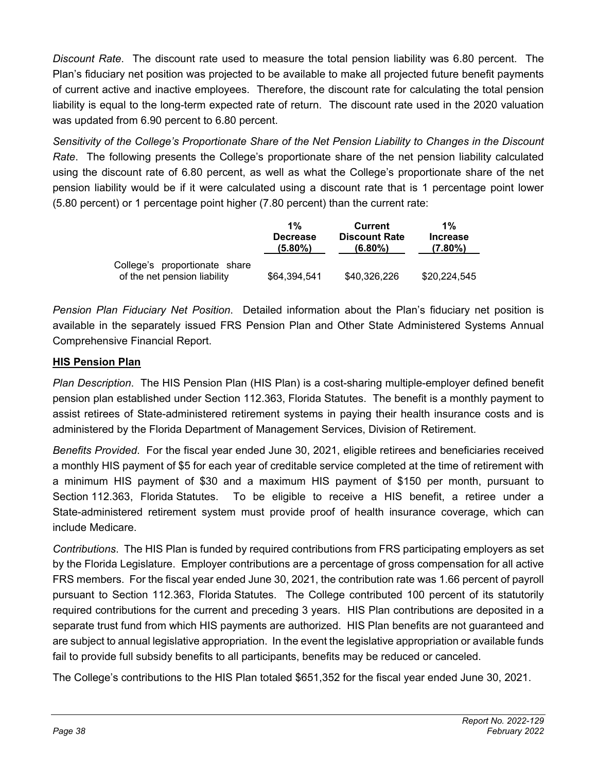*Discount Rate*. The discount rate used to measure the total pension liability was 6.80 percent. The Plan's fiduciary net position was projected to be available to make all projected future benefit payments of current active and inactive employees. Therefore, the discount rate for calculating the total pension liability is equal to the long-term expected rate of return. The discount rate used in the 2020 valuation was updated from 6.90 percent to 6.80 percent.

*Sensitivity of the College's Proportionate Share of the Net Pension Liability to Changes in the Discount Rate*. The following presents the College's proportionate share of the net pension liability calculated using the discount rate of 6.80 percent, as well as what the College's proportionate share of the net pension liability would be if it were calculated using a discount rate that is 1 percentage point lower (5.80 percent) or 1 percentage point higher (7.80 percent) than the current rate:

|                                                               | 1%              | <b>Current</b>       | $1\%$           |
|---------------------------------------------------------------|-----------------|----------------------|-----------------|
|                                                               | <b>Decrease</b> | <b>Discount Rate</b> | <b>Increase</b> |
|                                                               | $(5.80\%)$      | $(6.80\%)$           | $(7.80\%)$      |
| College's proportionate share<br>of the net pension liability | \$64,394,541    | \$40,326,226         | \$20,224,545    |

*Pension Plan Fiduciary Net Position*. Detailed information about the Plan's fiduciary net position is available in the separately issued FRS Pension Plan and Other State Administered Systems Annual Comprehensive Financial Report.

# **HIS Pension Plan**

*Plan Description*. The HIS Pension Plan (HIS Plan) is a cost-sharing multiple-employer defined benefit pension plan established under Section 112.363, Florida Statutes. The benefit is a monthly payment to assist retirees of State-administered retirement systems in paying their health insurance costs and is administered by the Florida Department of Management Services, Division of Retirement.

*Benefits Provided*. For the fiscal year ended June 30, 2021, eligible retirees and beneficiaries received a monthly HIS payment of \$5 for each year of creditable service completed at the time of retirement with a minimum HIS payment of \$30 and a maximum HIS payment of \$150 per month, pursuant to Section 112.363, Florida Statutes. To be eligible to receive a HIS benefit, a retiree under a State-administered retirement system must provide proof of health insurance coverage, which can include Medicare.

*Contributions*. The HIS Plan is funded by required contributions from FRS participating employers as set by the Florida Legislature. Employer contributions are a percentage of gross compensation for all active FRS members. For the fiscal year ended June 30, 2021, the contribution rate was 1.66 percent of payroll pursuant to Section 112.363, Florida Statutes. The College contributed 100 percent of its statutorily required contributions for the current and preceding 3 years. HIS Plan contributions are deposited in a separate trust fund from which HIS payments are authorized. HIS Plan benefits are not guaranteed and are subject to annual legislative appropriation. In the event the legislative appropriation or available funds fail to provide full subsidy benefits to all participants, benefits may be reduced or canceled.

The College's contributions to the HIS Plan totaled \$651,352 for the fiscal year ended June 30, 2021.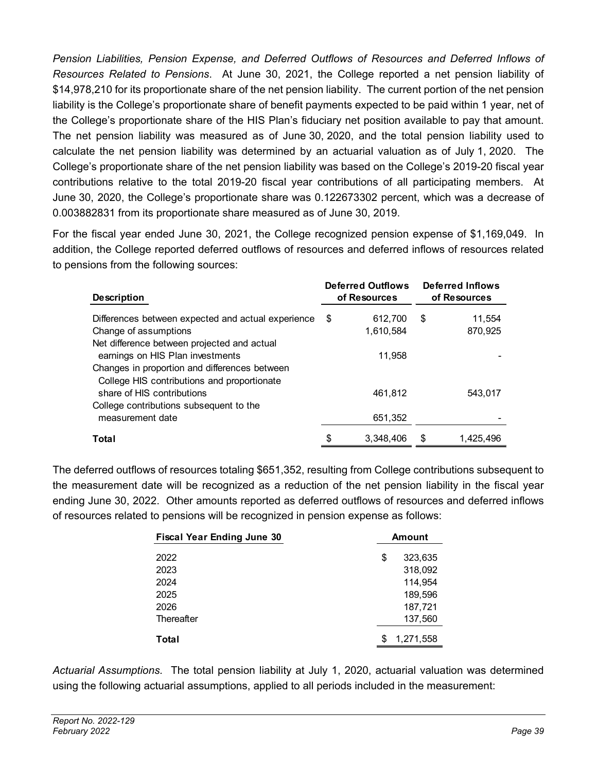*Pension Liabilities, Pension Expense, and Deferred Outflows of Resources and Deferred Inflows of Resources Related to Pensions*. At June 30, 2021, the College reported a net pension liability of \$14,978,210 for its proportionate share of the net pension liability. The current portion of the net pension liability is the College's proportionate share of benefit payments expected to be paid within 1 year, net of the College's proportionate share of the HIS Plan's fiduciary net position available to pay that amount. The net pension liability was measured as of June 30, 2020, and the total pension liability used to calculate the net pension liability was determined by an actuarial valuation as of July 1, 2020. The College's proportionate share of the net pension liability was based on the College's 2019-20 fiscal year contributions relative to the total 2019-20 fiscal year contributions of all participating members. At June 30, 2020, the College's proportionate share was 0.122673302 percent, which was a decrease of 0.003882831 from its proportionate share measured as of June 30, 2019.

For the fiscal year ended June 30, 2021, the College recognized pension expense of \$1,169,049. In addition, the College reported deferred outflows of resources and deferred inflows of resources related to pensions from the following sources:

|   |                      | Deferred Inflows<br>of Resources                      |                   |  |  |
|---|----------------------|-------------------------------------------------------|-------------------|--|--|
| S | 612,700<br>1,610,584 | S                                                     | 11.554<br>870,925 |  |  |
|   | 11.958               |                                                       |                   |  |  |
|   |                      |                                                       |                   |  |  |
|   | 461.812              |                                                       | 543.017           |  |  |
|   | 651,352              |                                                       | 1,425,496         |  |  |
|   | \$                   | <b>Deferred Outflows</b><br>of Resources<br>3,348,406 | \$                |  |  |

The deferred outflows of resources totaling \$651,352, resulting from College contributions subsequent to the measurement date will be recognized as a reduction of the net pension liability in the fiscal year ending June 30, 2022. Other amounts reported as deferred outflows of resources and deferred inflows of resources related to pensions will be recognized in pension expense as follows:

| <b>Fiscal Year Ending June 30</b> | <b>Amount</b> |  |  |  |  |  |
|-----------------------------------|---------------|--|--|--|--|--|
| 2022                              | 323,635<br>\$ |  |  |  |  |  |
| 2023                              | 318,092       |  |  |  |  |  |
| 2024                              | 114,954       |  |  |  |  |  |
| 2025                              | 189,596       |  |  |  |  |  |
| 2026                              | 187,721       |  |  |  |  |  |
| Thereafter                        | 137,560       |  |  |  |  |  |
| Total                             | 1,271,558     |  |  |  |  |  |

*Actuarial Assumptions.* The total pension liability at July 1, 2020, actuarial valuation was determined using the following actuarial assumptions, applied to all periods included in the measurement: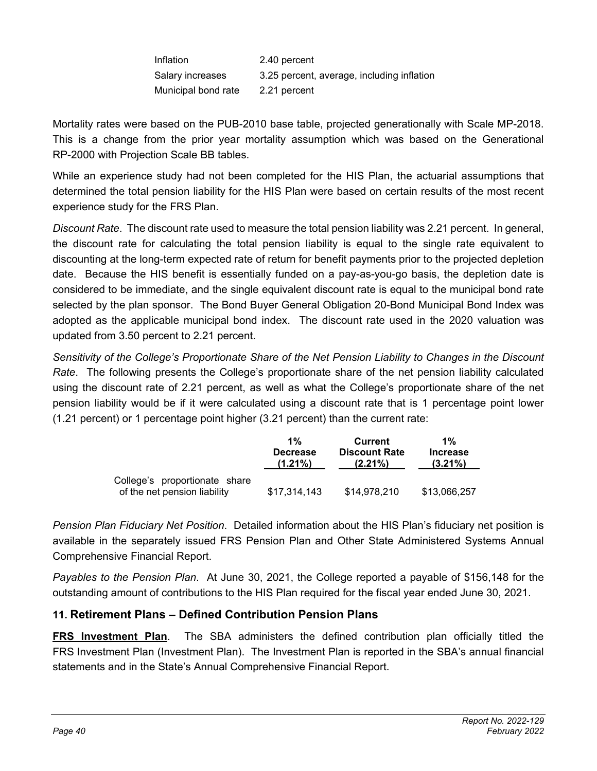| Inflation           | 2.40 percent                               |
|---------------------|--------------------------------------------|
| Salary increases    | 3.25 percent, average, including inflation |
| Municipal bond rate | 2.21 percent                               |

Mortality rates were based on the PUB-2010 base table, projected generationally with Scale MP-2018. This is a change from the prior year mortality assumption which was based on the Generational RP-2000 with Projection Scale BB tables.

While an experience study had not been completed for the HIS Plan, the actuarial assumptions that determined the total pension liability for the HIS Plan were based on certain results of the most recent experience study for the FRS Plan.

*Discount Rate*. The discount rate used to measure the total pension liability was 2.21 percent. In general, the discount rate for calculating the total pension liability is equal to the single rate equivalent to discounting at the long-term expected rate of return for benefit payments prior to the projected depletion date. Because the HIS benefit is essentially funded on a pay-as-you-go basis, the depletion date is considered to be immediate, and the single equivalent discount rate is equal to the municipal bond rate selected by the plan sponsor. The Bond Buyer General Obligation 20-Bond Municipal Bond Index was adopted as the applicable municipal bond index. The discount rate used in the 2020 valuation was updated from 3.50 percent to 2.21 percent.

*Sensitivity of the College's Proportionate Share of the Net Pension Liability to Changes in the Discount Rate*. The following presents the College's proportionate share of the net pension liability calculated using the discount rate of 2.21 percent, as well as what the College's proportionate share of the net pension liability would be if it were calculated using a discount rate that is 1 percentage point lower (1.21 percent) or 1 percentage point higher (3.21 percent) than the current rate:

|                                                               | 1%                            | <b>Current</b>                     | $1\%$                         |
|---------------------------------------------------------------|-------------------------------|------------------------------------|-------------------------------|
|                                                               | <b>Decrease</b><br>$(1.21\%)$ | <b>Discount Rate</b><br>$(2.21\%)$ | <b>Increase</b><br>$(3.21\%)$ |
| College's proportionate share<br>of the net pension liability | \$17,314,143                  | \$14,978,210                       | \$13,066,257                  |

*Pension Plan Fiduciary Net Position*. Detailed information about the HIS Plan's fiduciary net position is available in the separately issued FRS Pension Plan and Other State Administered Systems Annual Comprehensive Financial Report.

*Payables to the Pension Plan*. At June 30, 2021, the College reported a payable of \$156,148 for the outstanding amount of contributions to the HIS Plan required for the fiscal year ended June 30, 2021.

# **11. Retirement Plans – Defined Contribution Pension Plans**

**FRS Investment Plan**. The SBA administers the defined contribution plan officially titled the FRS Investment Plan (Investment Plan). The Investment Plan is reported in the SBA's annual financial statements and in the State's Annual Comprehensive Financial Report.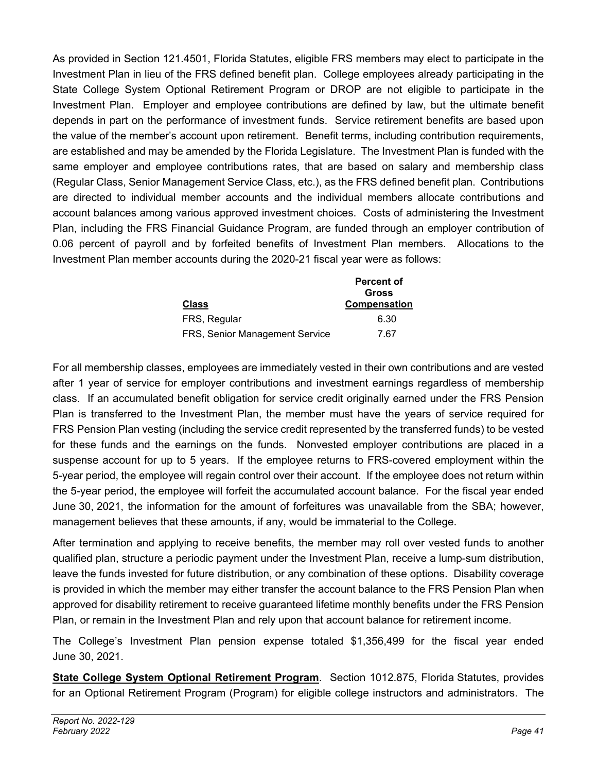As provided in Section 121.4501, Florida Statutes, eligible FRS members may elect to participate in the Investment Plan in lieu of the FRS defined benefit plan. College employees already participating in the State College System Optional Retirement Program or DROP are not eligible to participate in the Investment Plan. Employer and employee contributions are defined by law, but the ultimate benefit depends in part on the performance of investment funds. Service retirement benefits are based upon the value of the member's account upon retirement. Benefit terms, including contribution requirements, are established and may be amended by the Florida Legislature. The Investment Plan is funded with the same employer and employee contributions rates, that are based on salary and membership class (Regular Class, Senior Management Service Class, etc.), as the FRS defined benefit plan. Contributions are directed to individual member accounts and the individual members allocate contributions and account balances among various approved investment choices. Costs of administering the Investment Plan, including the FRS Financial Guidance Program, are funded through an employer contribution of 0.06 percent of payroll and by forfeited benefits of Investment Plan members. Allocations to the Investment Plan member accounts during the 2020-21 fiscal year were as follows:

|                                | <b>Percent of</b> |
|--------------------------------|-------------------|
|                                | Gross             |
| <b>Class</b>                   | Compensation      |
| FRS, Regular                   | 6.30              |
| FRS, Senior Management Service | 7 67              |

For all membership classes, employees are immediately vested in their own contributions and are vested after 1 year of service for employer contributions and investment earnings regardless of membership class. If an accumulated benefit obligation for service credit originally earned under the FRS Pension Plan is transferred to the Investment Plan, the member must have the years of service required for FRS Pension Plan vesting (including the service credit represented by the transferred funds) to be vested for these funds and the earnings on the funds. Nonvested employer contributions are placed in a suspense account for up to 5 years. If the employee returns to FRS-covered employment within the 5-year period, the employee will regain control over their account. If the employee does not return within the 5-year period, the employee will forfeit the accumulated account balance. For the fiscal year ended June 30, 2021, the information for the amount of forfeitures was unavailable from the SBA; however, management believes that these amounts, if any, would be immaterial to the College.

After termination and applying to receive benefits, the member may roll over vested funds to another qualified plan, structure a periodic payment under the Investment Plan, receive a lump-sum distribution, leave the funds invested for future distribution, or any combination of these options. Disability coverage is provided in which the member may either transfer the account balance to the FRS Pension Plan when approved for disability retirement to receive guaranteed lifetime monthly benefits under the FRS Pension Plan, or remain in the Investment Plan and rely upon that account balance for retirement income.

The College's Investment Plan pension expense totaled \$1,356,499 for the fiscal year ended June 30, 2021.

**State College System Optional Retirement Program**. Section 1012.875, Florida Statutes, provides for an Optional Retirement Program (Program) for eligible college instructors and administrators. The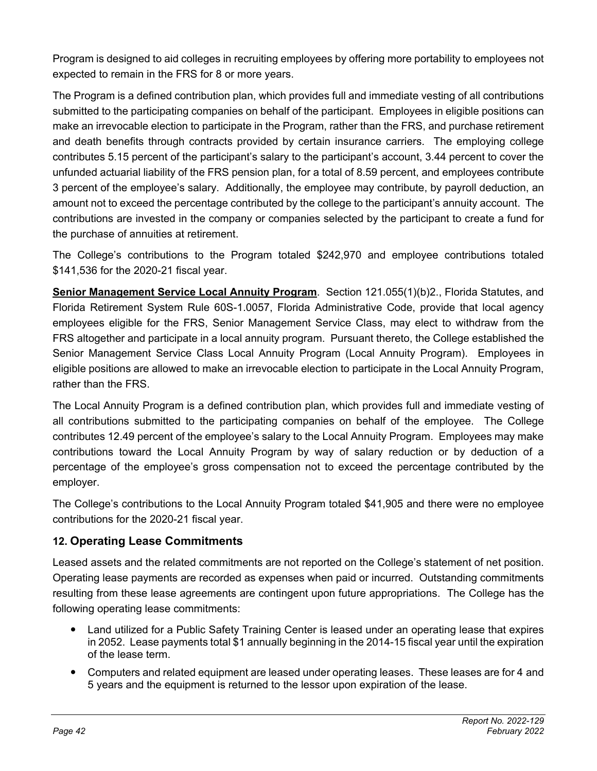Program is designed to aid colleges in recruiting employees by offering more portability to employees not expected to remain in the FRS for 8 or more years.

The Program is a defined contribution plan, which provides full and immediate vesting of all contributions submitted to the participating companies on behalf of the participant. Employees in eligible positions can make an irrevocable election to participate in the Program, rather than the FRS, and purchase retirement and death benefits through contracts provided by certain insurance carriers. The employing college contributes 5.15 percent of the participant's salary to the participant's account, 3.44 percent to cover the unfunded actuarial liability of the FRS pension plan, for a total of 8.59 percent, and employees contribute 3 percent of the employee's salary. Additionally, the employee may contribute, by payroll deduction, an amount not to exceed the percentage contributed by the college to the participant's annuity account. The contributions are invested in the company or companies selected by the participant to create a fund for the purchase of annuities at retirement.

The College's contributions to the Program totaled \$242,970 and employee contributions totaled \$141,536 for the 2020-21 fiscal year.

**Senior Management Service Local Annuity Program**. Section 121.055(1)(b)2., Florida Statutes, and Florida Retirement System Rule 60S-1.0057, Florida Administrative Code, provide that local agency employees eligible for the FRS, Senior Management Service Class, may elect to withdraw from the FRS altogether and participate in a local annuity program. Pursuant thereto, the College established the Senior Management Service Class Local Annuity Program (Local Annuity Program). Employees in eligible positions are allowed to make an irrevocable election to participate in the Local Annuity Program, rather than the FRS.

The Local Annuity Program is a defined contribution plan, which provides full and immediate vesting of all contributions submitted to the participating companies on behalf of the employee. The College contributes 12.49 percent of the employee's salary to the Local Annuity Program. Employees may make contributions toward the Local Annuity Program by way of salary reduction or by deduction of a percentage of the employee's gross compensation not to exceed the percentage contributed by the employer.

The College's contributions to the Local Annuity Program totaled \$41,905 and there were no employee contributions for the 2020-21 fiscal year.

# **12. Operating Lease Commitments**

Leased assets and the related commitments are not reported on the College's statement of net position. Operating lease payments are recorded as expenses when paid or incurred. Outstanding commitments resulting from these lease agreements are contingent upon future appropriations. The College has the following operating lease commitments:

- Land utilized for a Public Safety Training Center is leased under an operating lease that expires in 2052. Lease payments total \$1 annually beginning in the 2014-15 fiscal year until the expiration of the lease term.
- Computers and related equipment are leased under operating leases. These leases are for 4 and 5 years and the equipment is returned to the lessor upon expiration of the lease.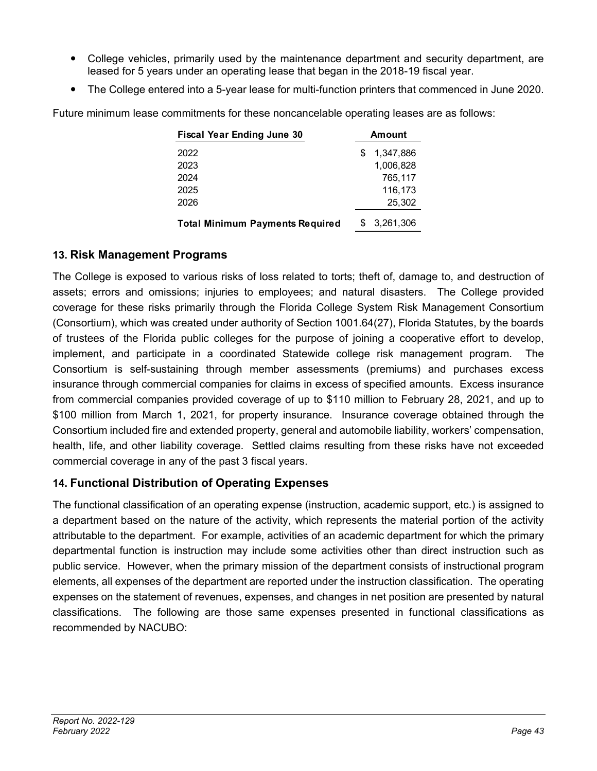- College vehicles, primarily used by the maintenance department and security department, are leased for 5 years under an operating lease that began in the 2018-19 fiscal year.
- The College entered into a 5-year lease for multi-function printers that commenced in June 2020.

Future minimum lease commitments for these noncancelable operating leases are as follows:

| <b>Fiscal Year Ending June 30</b>      |   | <b>Amount</b> |  |  |  |  |
|----------------------------------------|---|---------------|--|--|--|--|
| 2022                                   | S | 1,347,886     |  |  |  |  |
| 2023                                   |   | 1,006,828     |  |  |  |  |
| 2024                                   |   | 765.117       |  |  |  |  |
| 2025                                   |   | 116,173       |  |  |  |  |
| 2026                                   |   | 25,302        |  |  |  |  |
| <b>Total Minimum Payments Required</b> |   | 3,261,306     |  |  |  |  |

# **13. Risk Management Programs**

The College is exposed to various risks of loss related to torts; theft of, damage to, and destruction of assets; errors and omissions; injuries to employees; and natural disasters. The College provided coverage for these risks primarily through the Florida College System Risk Management Consortium (Consortium), which was created under authority of Section 1001.64(27), Florida Statutes, by the boards of trustees of the Florida public colleges for the purpose of joining a cooperative effort to develop, implement, and participate in a coordinated Statewide college risk management program. The Consortium is self-sustaining through member assessments (premiums) and purchases excess insurance through commercial companies for claims in excess of specified amounts. Excess insurance from commercial companies provided coverage of up to \$110 million to February 28, 2021, and up to \$100 million from March 1, 2021, for property insurance. Insurance coverage obtained through the Consortium included fire and extended property, general and automobile liability, workers' compensation, health, life, and other liability coverage. Settled claims resulting from these risks have not exceeded commercial coverage in any of the past 3 fiscal years.

# **14. Functional Distribution of Operating Expenses**

The functional classification of an operating expense (instruction, academic support, etc.) is assigned to a department based on the nature of the activity, which represents the material portion of the activity attributable to the department. For example, activities of an academic department for which the primary departmental function is instruction may include some activities other than direct instruction such as public service. However, when the primary mission of the department consists of instructional program elements, all expenses of the department are reported under the instruction classification. The operating expenses on the statement of revenues, expenses, and changes in net position are presented by natural classifications. The following are those same expenses presented in functional classifications as recommended by NACUBO: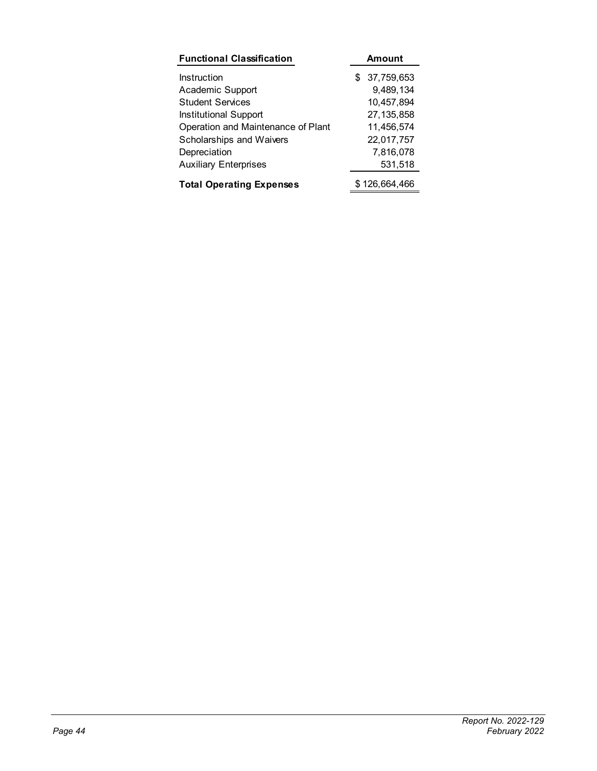| <b>Functional Classification</b>   | Amount        |  |  |  |
|------------------------------------|---------------|--|--|--|
| Instruction                        | \$ 37,759,653 |  |  |  |
| Academic Support                   | 9,489,134     |  |  |  |
| <b>Student Services</b>            | 10,457,894    |  |  |  |
| Institutional Support              | 27, 135, 858  |  |  |  |
| Operation and Maintenance of Plant | 11,456,574    |  |  |  |
| Scholarships and Waivers           | 22,017,757    |  |  |  |
| Depreciation                       | 7,816,078     |  |  |  |
| <b>Auxiliary Enterprises</b>       | 531,518       |  |  |  |
| <b>Total Operating Expenses</b>    | \$126,664,466 |  |  |  |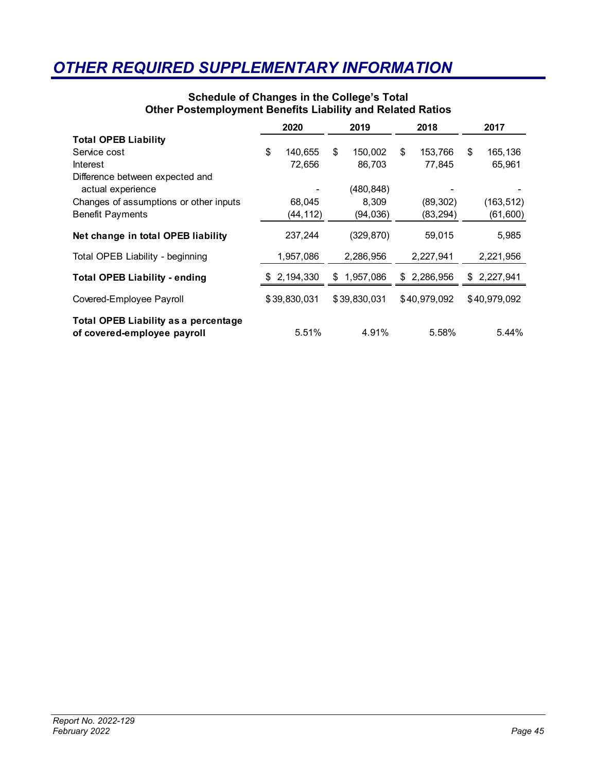# <span id="page-48-0"></span>*OTHER REQUIRED SUPPLEMENTARY INFORMATION*

|                                                                            | 2020          | 2019 |              | 2018          | 2017          |
|----------------------------------------------------------------------------|---------------|------|--------------|---------------|---------------|
| <b>Total OPEB Liability</b>                                                |               |      |              |               |               |
| Service cost                                                               | \$<br>140,655 | \$   | 150,002      | \$<br>153,766 | \$<br>165,136 |
| <b>Interest</b>                                                            | 72,656        |      | 86,703       | 77,845        | 65,961        |
| Difference between expected and                                            |               |      |              |               |               |
| actual experience                                                          |               |      | (480, 848)   |               |               |
| Changes of assumptions or other inputs                                     | 68,045        |      | 8,309        | (89, 302)     | (163, 512)    |
| <b>Benefit Payments</b>                                                    | (44, 112)     |      | (94, 036)    | (83, 294)     | (61,600)      |
| Net change in total OPEB liability                                         | 237,244       |      | (329, 870)   | 59,015        | 5,985         |
| Total OPEB Liability - beginning                                           | 1,957,086     |      | 2,286,956    | 2,227,941     | 2,221,956     |
| <b>Total OPEB Liability - ending</b>                                       | \$2,194,330   | \$   | 1,957,086    | \$2,286,956   | \$2,227,941   |
| Covered-Employee Payroll                                                   | \$39,830,031  |      | \$39,830,031 | \$40,979,092  | \$40,979,092  |
| <b>Total OPEB Liability as a percentage</b><br>of covered-employee payroll | 5.51%         |      | 4.91%        | 5.58%         | 5.44%         |

## **Schedule of Changes in the College's Total Other Postemployment Benefits Liability and Related Ratios**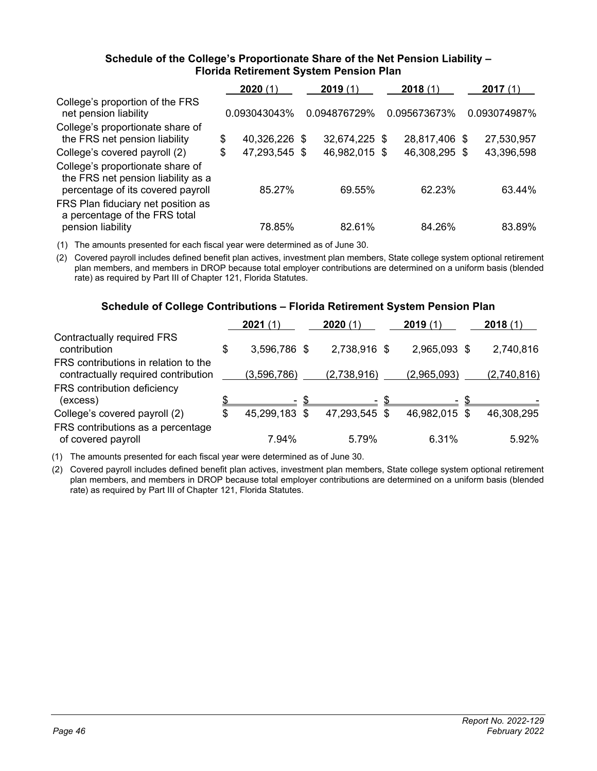#### **Schedule of the College's Proportionate Share of the Net Pension Liability – Florida Retirement System Pension Plan**

<span id="page-49-0"></span>

|                                                                                                             | 2020(1)             |    | 2019(1)       | 2018(1)       | 2017(1)      |
|-------------------------------------------------------------------------------------------------------------|---------------------|----|---------------|---------------|--------------|
| College's proportion of the FRS<br>net pension liability<br>College's proportionate share of                | 0.093043043%        |    | 0.094876729%  | 0.095673673%  | 0.093074987% |
| the FRS net pension liability                                                                               | \$<br>40,326,226    | -S | 32,674,225 \$ | 28,817,406 \$ | 27,530,957   |
| College's covered payroll (2)                                                                               | \$<br>47,293,545 \$ |    | 46,982,015 \$ | 46,308,295 \$ | 43,396,598   |
| College's proportionate share of<br>the FRS net pension liability as a<br>percentage of its covered payroll | 85.27%              |    | 69.55%        | 62.23%        | 63.44%       |
| FRS Plan fiduciary net position as<br>a percentage of the FRS total<br>pension liability                    | 78.85%              |    | 82.61%        | 84.26%        | 83.89%       |

(1) The amounts presented for each fiscal year were determined as of June 30.

(2) Covered payroll includes defined benefit plan actives, investment plan members, State college system optional retirement plan members, and members in DROP because total employer contributions are determined on a uniform basis (blended rate) as required by Part III of Chapter 121, Florida Statutes.

#### **Schedule of College Contributions – Florida Retirement System Pension Plan**

|                                                                             | 2021(1)             | 2020(1)                  | 2019(1)      |     | 2018(1)     |
|-----------------------------------------------------------------------------|---------------------|--------------------------|--------------|-----|-------------|
| Contractually required FRS<br>contribution                                  | \$<br>3,596,786 \$  | 2,738,916 \$             | 2,965,093 \$ |     | 2,740,816   |
| FRS contributions in relation to the<br>contractually required contribution | (3,596,786)         | (2,738,916)              | (2,965,093)  |     | (2,740,816) |
| FRS contribution deficiency<br>(excess)                                     |                     | $\overline{\phantom{0}}$ |              |     |             |
| College's covered payroll (2)                                               | \$<br>45,299,183 \$ | 47,293,545 \$            | 46,982,015   | -\$ | 46,308,295  |
| FRS contributions as a percentage<br>of covered payroll                     | 7.94%               | 5.79%                    | 6.31%        |     | $5.92\%$    |

(1) The amounts presented for each fiscal year were determined as of June 30.

(2) Covered payroll includes defined benefit plan actives, investment plan members, State college system optional retirement plan members, and members in DROP because total employer contributions are determined on a uniform basis (blended rate) as required by Part III of Chapter 121, Florida Statutes.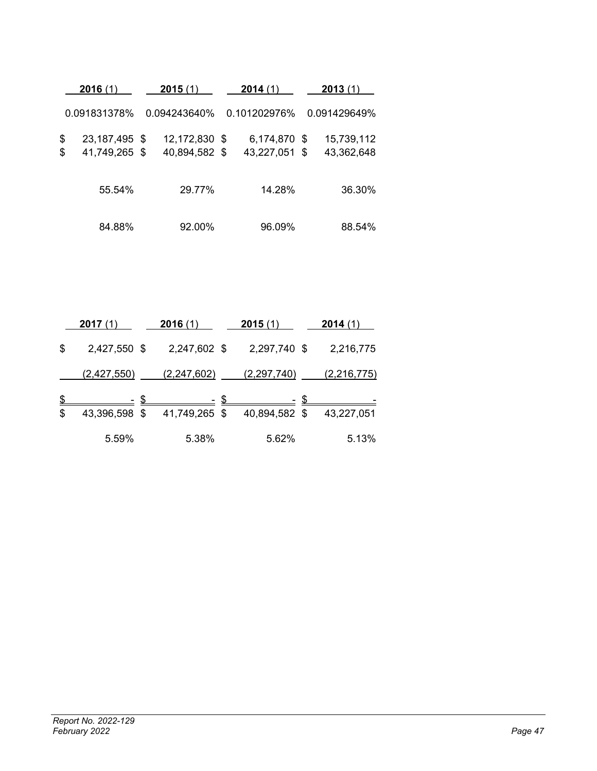|    | 2016(1)       |  | 2015(1)       |      | 2014(1)       | 2013(1)      |            |  |  |  |
|----|---------------|--|---------------|------|---------------|--------------|------------|--|--|--|
|    | 0.091831378%  |  | 0.094243640%  |      | 0.101202976%  | 0.091429649% |            |  |  |  |
| \$ | 23,187,495 \$ |  | 12,172,830    | - \$ | 6,174,870 \$  |              | 15,739,112 |  |  |  |
| \$ | 41,749,265 \$ |  | 40,894,582 \$ |      | 43,227,051 \$ |              | 43,362,648 |  |  |  |
|    | 55.54%        |  | 29.77%        |      | 14.28%        |              | 36.30%     |  |  |  |
|    | 84.88%        |  | 92.00%        |      | 96.09%        |              | 88.54%     |  |  |  |

|    | 2017 (1       | 2016(1)       | 2015(1)       | 2014(              |
|----|---------------|---------------|---------------|--------------------|
| \$ | 2,427,550 \$  | 2,247,602 \$  | 2,297,740 \$  | 2,216,775          |
|    | (2,427,550)   | (2,247,602)   | (2, 297, 740) | <u>(2,216,775)</u> |
|    |               |               |               |                    |
| \$ | 43,396,598 \$ | 41,749,265 \$ | 40,894,582 \$ | 43,227,051         |
|    | 5.59%         | 5.38%         | 5.62%         | 5.13%              |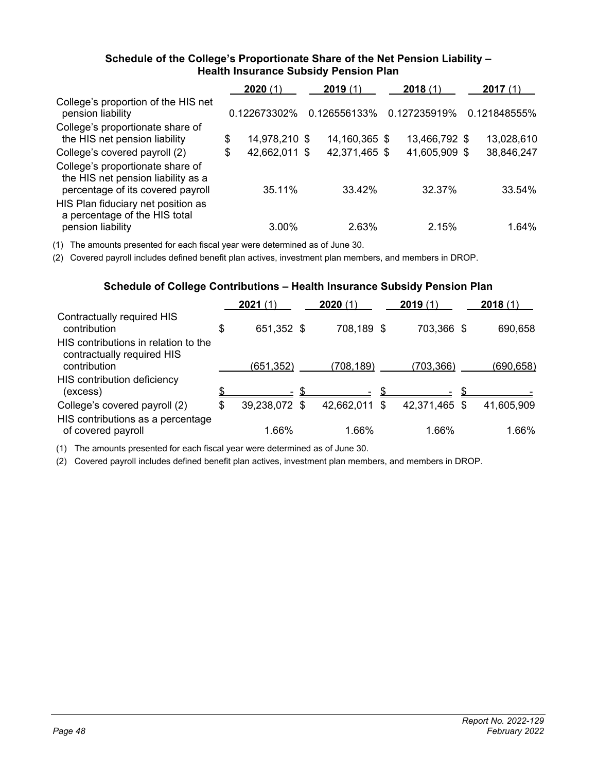#### **Schedule of the College's Proportionate Share of the Net Pension Liability – Health Insurance Subsidy Pension Plan**

<span id="page-51-0"></span>

|                                                                                                             | 2020(1)             | 2019(1)       | 2018(1)       | 2017(1)      |
|-------------------------------------------------------------------------------------------------------------|---------------------|---------------|---------------|--------------|
| College's proportion of the HIS net<br>pension liability<br>College's proportionate share of                | 0.122673302%        | 0.126556133%  | 0.127235919%  | 0.121848555% |
| the HIS net pension liability                                                                               | \$<br>14,978,210 \$ | 14,160,365 \$ | 13,466,792 \$ | 13,028,610   |
| College's covered payroll (2)                                                                               | \$<br>42,662,011 \$ | 42,371,465 \$ | 41,605,909 \$ | 38,846,247   |
| College's proportionate share of<br>the HIS net pension liability as a<br>percentage of its covered payroll | 35.11%              | 33.42%        | 32.37%        | 33.54%       |
| HIS Plan fiduciary net position as<br>a percentage of the HIS total<br>pension liability                    | $3.00\%$            | 2.63%         | 2.15%         | 1.64%        |

(1) The amounts presented for each fiscal year were determined as of June 30.

(2) Covered payroll includes defined benefit plan actives, investment plan members, and members in DROP.

#### **Schedule of College Contributions – Health Insurance Subsidy Pension Plan**

|                                                                    | 2021(1)             | 2020(1)       | 2019(1)       | 2018(1)    |
|--------------------------------------------------------------------|---------------------|---------------|---------------|------------|
| Contractually required HIS<br>contribution                         | \$<br>651,352 \$    | 708,189 \$    | 703,366 \$    | 690,658    |
| HIS contributions in relation to the<br>contractually required HIS |                     |               |               |            |
| contribution                                                       | (651, 352)          | (708, 189)    | (703, 366)    | (690, 658) |
| HIS contribution deficiency                                        |                     |               |               |            |
| (excess)                                                           |                     |               |               |            |
| College's covered payroll (2)                                      | \$<br>39,238,072 \$ | 42,662,011 \$ | 42,371,465 \$ | 41,605,909 |
| HIS contributions as a percentage<br>of covered payroll            | 1.66%               | 1.66%         | 1.66%         | 1.66%      |

(1) The amounts presented for each fiscal year were determined as of June 30.

(2) Covered payroll includes defined benefit plan actives, investment plan members, and members in DROP.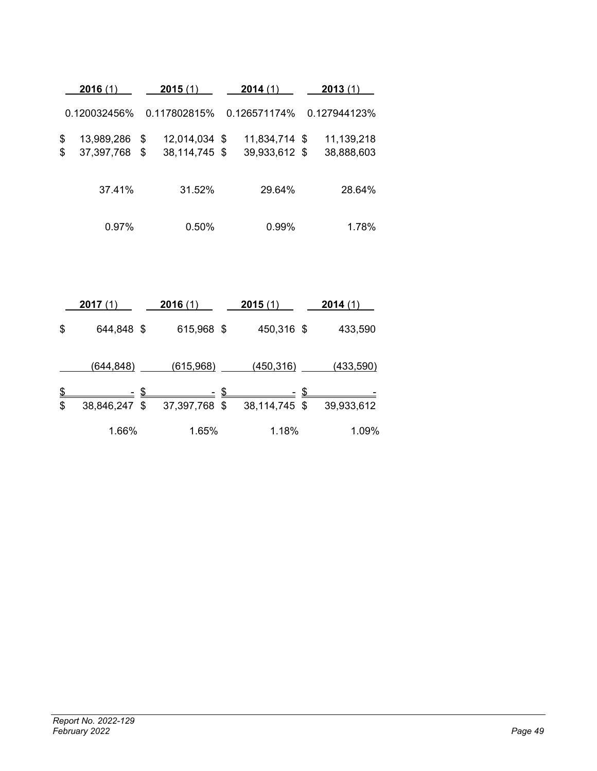| 2016(1)  |                          | 2015(1) |                                |  | 2014(1)                        | 2013 (1 |                          |  |  |
|----------|--------------------------|---------|--------------------------------|--|--------------------------------|---------|--------------------------|--|--|
|          | 0.120032456%             |         | 0.117802815%                   |  | 0.126571174%                   |         | 0.127944123%             |  |  |
| \$<br>\$ | 13,989,286<br>37,397,768 | S<br>\$ | 12,014,034 \$<br>38,114,745 \$ |  | 11,834,714 \$<br>39,933,612 \$ |         | 11,139,218<br>38,888,603 |  |  |
|          | 37.41%                   |         | 31.52%                         |  | 29.64%                         |         | 28.64%                   |  |  |
|          | 0.97%                    |         | 0.50%                          |  | $0.99\%$                       |         | 1.78%                    |  |  |

| 2017(1)             | 2016(1)       |    | 2015(1)       | 2014(1)    |
|---------------------|---------------|----|---------------|------------|
| \$<br>644,848 \$    | 615,968 \$    |    | 450,316 \$    | 433,590    |
| (644, 848)          | (615,968)     |    | (450, 316)    | (433,590)  |
|                     |               | -S |               |            |
| \$<br>38,846,247 \$ | 37,397,768 \$ |    | 38,114,745 \$ | 39,933,612 |
| 1.66%               | 1.65%         |    | 1.18%         | 1.09%      |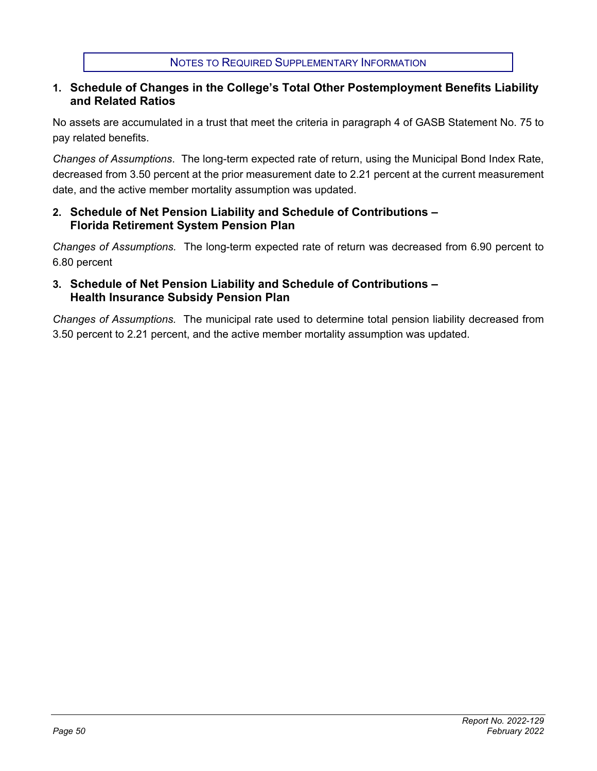# <span id="page-53-0"></span>**1. Schedule of Changes in the College's Total Other Postemployment Benefits Liability and Related Ratios**

No assets are accumulated in a trust that meet the criteria in paragraph 4 of GASB Statement No. 75 to pay related benefits.

*Changes of Assumptions*. The long-term expected rate of return, using the Municipal Bond Index Rate, decreased from 3.50 percent at the prior measurement date to 2.21 percent at the current measurement date, and the active member mortality assumption was updated.

# **2. Schedule of Net Pension Liability and Schedule of Contributions – Florida Retirement System Pension Plan**

*Changes of Assumptions.* The long-term expected rate of return was decreased from 6.90 percent to 6.80 percent

# **3. Schedule of Net Pension Liability and Schedule of Contributions – Health Insurance Subsidy Pension Plan**

*Changes of Assumptions.* The municipal rate used to determine total pension liability decreased from 3.50 percent to 2.21 percent, and the active member mortality assumption was updated.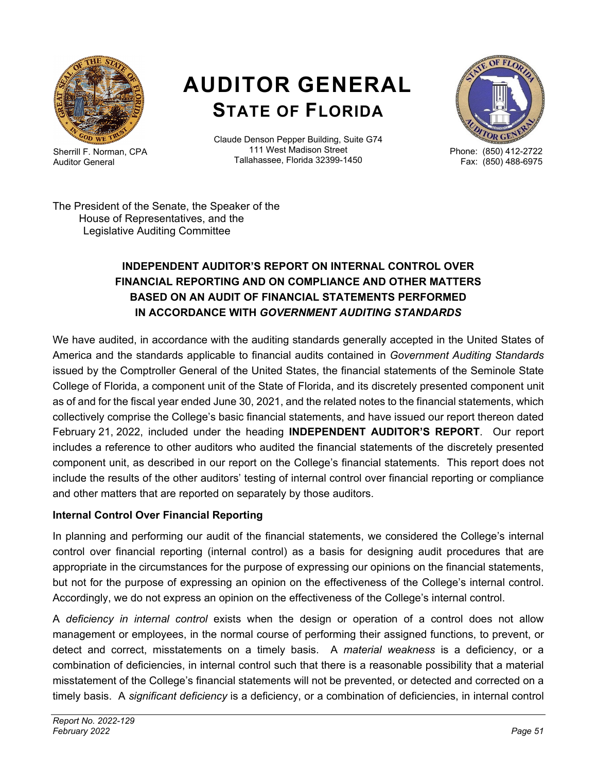<span id="page-54-0"></span>

Sherrill F. Norman, CPA Auditor General

# **AUDITOR GENERAL STATE OF FLORIDA**

Claude Denson Pepper Building, Suite G74 111 West Madison Street Tallahassee, Florida 32399-1450



Phone: (850) 412-2722 Fax: (850) 488-6975

The President of the Senate, the Speaker of the House of Representatives, and the Legislative Auditing Committee

# **INDEPENDENT AUDITOR'S REPORT ON INTERNAL CONTROL OVER FINANCIAL REPORTING AND ON COMPLIANCE AND OTHER MATTERS BASED ON AN AUDIT OF FINANCIAL STATEMENTS PERFORMED IN ACCORDANCE WITH** *GOVERNMENT AUDITING STANDARDS*

We have audited, in accordance with the auditing standards generally accepted in the United States of America and the standards applicable to financial audits contained in *Government Auditing Standards* issued by the Comptroller General of the United States, the financial statements of the Seminole State College of Florida, a component unit of the State of Florida, and its discretely presented component unit as of and for the fiscal year ended June 30, 2021, and the related notes to the financial statements, which collectively comprise the College's basic financial statements, and have issued our report thereon dated February 21, 2022, included under the heading **INDEPENDENT AUDITOR'S REPORT**. Our report includes a reference to other auditors who audited the financial statements of the discretely presented component unit, as described in our report on the College's financial statements. This report does not include the results of the other auditors' testing of internal control over financial reporting or compliance and other matters that are reported on separately by those auditors.

# **Internal Control Over Financial Reporting**

In planning and performing our audit of the financial statements, we considered the College's internal control over financial reporting (internal control) as a basis for designing audit procedures that are appropriate in the circumstances for the purpose of expressing our opinions on the financial statements, but not for the purpose of expressing an opinion on the effectiveness of the College's internal control. Accordingly, we do not express an opinion on the effectiveness of the College's internal control.

A *deficiency in internal control* exists when the design or operation of a control does not allow management or employees, in the normal course of performing their assigned functions, to prevent, or detect and correct, misstatements on a timely basis. A *material weakness* is a deficiency, or a combination of deficiencies, in internal control such that there is a reasonable possibility that a material misstatement of the College's financial statements will not be prevented, or detected and corrected on a timely basis. A *significant deficiency* is a deficiency, or a combination of deficiencies, in internal control